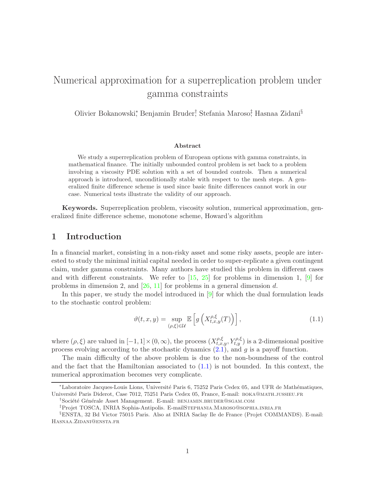# Numerical approximation for a superreplication problem under gamma constraints

Olivier Bokanowski\*, Benjamin Bruder† Stefania Maroso‡ Hasnaa Zidani§

#### Abstract

We study a superreplication problem of European options with gamma constraints, in mathematical finance. The initially unbounded control problem is set back to a problem involving a viscosity PDE solution with a set of bounded controls. Then a numerical approach is introduced, unconditionally stable with respect to the mesh steps. A generalized finite difference scheme is used since basic finite differences cannot work in our case. Numerical tests illustrate the validity of our approach.

Keywords. Superreplication problem, viscosity solution, numerical approximation, generalized finite difference scheme, monotone scheme, Howard's algorithm

### 1 Introduction

In a financial market, consisting in a non-risky asset and some risky assets, people are interested to study the minimal initial capital needed in order to super-replicate a given contingent claim, under gamma constraints. Many authors have studied this problem in different cases and with different constraints. We refer to  $[15, 25]$  $[15, 25]$  for problems in dimension 1,  $[9]$  for problems in dimension 2, and  $[26, 11]$  $[26, 11]$  for problems in a general dimension d.

In this paper, we study the model introduced in  $[9]$  for which the dual formulation leads to the stochastic control problem:

<span id="page-0-0"></span>
$$
\vartheta(t,x,y) = \sup_{(\rho,\xi)\in\mathcal{U}} \mathbb{E}\left[g\left(X_{t,x,y}^{\rho,\xi}(T)\right)\right],\tag{1.1}
$$

where  $(\rho, \xi)$  are valued in  $[-1, 1] \times (0, \infty)$ , the process  $(X_{t,x,y}^{\rho, \xi}, Y_{t,y}^{\rho, \xi})$  is a 2-dimensional positive process evolving according to the stochastic dynamics  $(2.1)$ , and g is a payoff function.

The main difficulty of the above problem is due to the non-boundness of the control and the fact that the Hamiltonian associated to  $(1.1)$  is not bounded. In this context, the numerical approximation becomes very complicate.

<sup>\*</sup>Laboratoire Jacques-Louis Lions, Université Paris 6, 75252 Paris Cedex 05, and UFR de Mathématiques, Université Paris Diderot, Case 7012, 75251 Paris Cedex 05, France, E-mail: BOKA@MATH.JUSSIEU.FR

<sup>&</sup>lt;sup>†</sup>Société Générale Asset Management. E-mail: BENJAMIN.BRUDER@SGAM.COM

<sup>‡</sup>Projet TOSCA, INRIA Sophia-Antipolis. E-mailStephania.Maroso@sophia.inria.fr

<sup>§</sup>ENSTA, 32 Bd Victor 75015 Paris. Also at INRIA Saclay Ile de France (Projet COMMANDS). E-mail: Hasnaa.Zidani@ensta.fr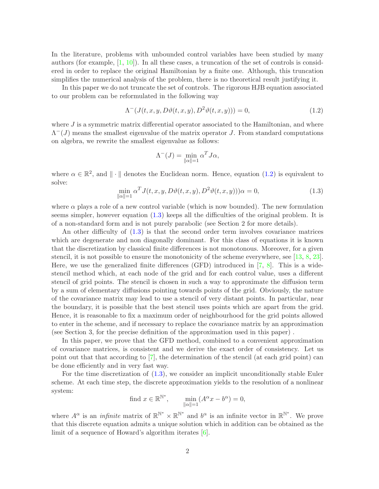In the literature, problems with unbounded control variables have been studied by many authors (for example,  $[1, 10]$  $[1, 10]$ ). In all these cases, a truncation of the set of controls is considered in order to replace the original Hamiltonian by a finite one. Although, this truncation simplifies the numerical analysis of the problem, there is no theoretical result justifying it.

In this paper we do not truncate the set of controls. The rigorous HJB equation associated to our problem can be reformulated in the following way

$$
\Lambda^{-}(J(t,x,y,D\vartheta(t,x,y),D^{2}\vartheta(t,x,y)))=0,
$$
\n(1.2)

<span id="page-1-0"></span>where  $J$  is a symmetric matrix differential operator associated to the Hamiltonian, and where  $\Lambda^{-1}(J)$  means the smallest eigenvalue of the matrix operator J. From standard computations on algebra, we rewrite the smallest eigenvalue as follows:

$$
\Lambda^{-}(J) = \min_{\|\alpha\|=1} \alpha^{T} J\alpha,
$$

<span id="page-1-1"></span>where  $\alpha \in \mathbb{R}^2$ , and  $\|\cdot\|$  denotes the Euclidean norm. Hence, equation [\(1.2\)](#page-1-0) is equivalent to solve:

$$
\min_{\|\alpha\|=1} \alpha^T J(t, x, y, D\vartheta(t, x, y), D^2\vartheta(t, x, y)))\alpha = 0,
$$
\n(1.3)

where  $\alpha$  plays a role of a new control variable (which is now bounded). The new formulation seems simpler, however equation [\(1.3\)](#page-1-1) keeps all the difficulties of the original problem. It is of a non-standard form and is not purely parabolic (see Section 2 for more details).

An other difficulty of  $(1.3)$  is that the second order term involves covariance matrices which are degenerate and non diagonally dominant. For this class of equations it is known that the discretization by classical finite differences is not monotonous. Moreover, for a given stencil, it is not possible to ensure the monotonicity of the scheme everywhere, see [\[13,](#page-33-4) [8,](#page-33-5) [23\]](#page-34-2). Here, we use the generalized finite differences (GFD) introduced in [\[7,](#page-33-6) [8\]](#page-33-5). This is a widestencil method which, at each node of the grid and for each control value, uses a different stencil of grid points. The stencil is chosen in such a way to approximate the diffusion term by a sum of elementary diffusions pointing towards points of the grid. Obviously, the nature of the covariance matrix may lead to use a stencil of very distant points. In particular, near the boundary, it is possible that the best stencil uses points which are apart from the grid. Hence, it is reasonable to fix a maximum order of neighbourhood for the grid points allowed to enter in the scheme, and if necessary to replace the covariance matrix by an approximation (see Section 3, for the precise definition of the approximation used in this paper) .

In this paper, we prove that the GFD method, combined to a convenient approximation of covariance matrices, is consistent and we derive the exact order of consistency. Let us point out that that according to [\[7\]](#page-33-6), the determination of the stencil (at each grid point) can be done efficiently and in very fast way.

For the time discretization of [\(1.3\)](#page-1-1), we consider an implicit unconditionally stable Euler scheme. At each time step, the discrete approximation yields to the resolution of a nonlinear system:

find 
$$
x \in \mathbb{R}^{\mathbb{N}^*}
$$
,  $\min_{\|\alpha\|=1} (A^{\alpha}x - b^{\alpha}) = 0$ ,

where  $A^{\alpha}$  is an *infinite* matrix of  $\mathbb{R}^{\mathbb{N}^*} \times \mathbb{R}^{\mathbb{N}^*}$  and  $b^{\alpha}$  is an infinite vector in  $\mathbb{R}^{\mathbb{N}^*}$ . We prove that this discrete equation admits a unique solution which in addition can be obtained as the limit of a sequence of Howard's algorithm iterates [\[6\]](#page-33-7).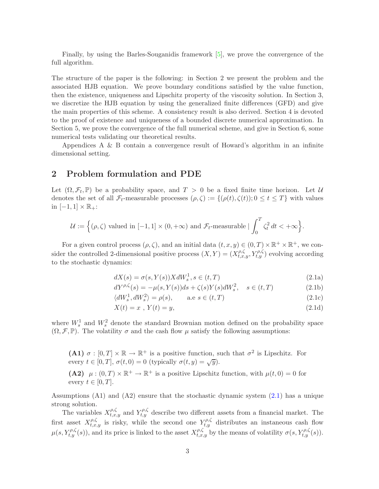Finally, by using the Barles-Souganidis framework [\[5\]](#page-33-8), we prove the convergence of the full algorithm.

The structure of the paper is the following: in Section 2 we present the problem and the associated HJB equation. We prove boundary conditions satisfied by the value function, then the existence, uniqueness and Lipschitz property of the viscosity solution. In Section 3, we discretize the HJB equation by using the generalized finite differences (GFD) and give the main properties of this scheme. A consistency result is also derived. Section 4 is devoted to the proof of existence and uniqueness of a bounded discrete numerical approximation. In Section 5, we prove the convergence of the full numerical scheme, and give in Section 6, some numerical tests validating our theoretical results.

Appendices A & B contain a convergence result of Howard's algorithm in an infinite dimensional setting.

# 2 Problem formulation and PDE

Let  $(\Omega, \mathcal{F}_t, \mathbb{P})$  be a probability space, and  $T > 0$  be a fixed finite time horizon. Let U denotes the set of all  $\mathcal{F}_t$ -measurable processes  $(\rho, \zeta) := \{(\rho(t), \zeta(t)); 0 \le t \le T\}$  with values in  $[-1,1] \times \mathbb{R}_+$ :

$$
\mathcal{U} := \Big\{(\rho,\zeta) \text{ valued in } [-1,1] \times (0,+\infty) \text{ and } \mathcal{F}_t\text{-measurable} \mid \int_0^T \zeta_t^2 dt < +\infty \Big\}.
$$

For a given control process  $(\rho, \zeta)$ , and an initial data  $(t, x, y) \in (0, T) \times \mathbb{R}^+ \times \mathbb{R}^+$ , we consider the controlled 2-dimensional positive process  $(X,Y) = (X_{t,x,y}^{\rho,\zeta}, Y_{t,y}^{\rho,\zeta})$  evolving according to the stochastic dynamics:

<span id="page-2-0"></span>
$$
dX(s) = \sigma(s, Y(s))XdW_s^1, s \in (t, T)
$$
\n(2.1a)

$$
dY^{\rho,\zeta}(s) = -\mu(s,Y(s))ds + \zeta(s)Y(s)dW_s^2, \quad s \in (t,T)
$$
\n(2.1b)

$$
\langle dW_s^1, dW_s^2 \rangle = \rho(s), \qquad \text{a.e } s \in (t, T)
$$
\n(2.1c)

$$
X(t) = x \, , \, Y(t) = y,\tag{2.1d}
$$

where  $W_s^1$  and  $W_s^2$  denote the standard Brownian motion defined on the probability space  $(\Omega, \mathcal{F}, \mathbb{P})$ . The volatility  $\sigma$  and the cash flow  $\mu$  satisfy the following assumptions:

(A1)  $\sigma : [0, T] \times \mathbb{R} \to \mathbb{R}^+$  is a positive function, such that  $\sigma^2$  is Lipschitz. For every  $t \in [0, T]$ ,  $\sigma(t, 0) = 0$  (typically  $\sigma(t, y) = \sqrt{y}$ ).

(A2)  $\mu: (0,T) \times \mathbb{R}^+ \to \mathbb{R}^+$  is a positive Lipschitz function, with  $\mu(t,0) = 0$  for every  $t \in [0, T]$ .

Assumptions  $(A1)$  and  $(A2)$  ensure that the stochastic dynamic system  $(2.1)$  has a unique strong solution.

The variables  $X_{t,x,y}^{\rho,\zeta}$  and  $Y_{t,y}^{\rho,\zeta}$  describe two different assets from a financial market. The first asset  $X_{t,x,y}^{\rho,\zeta}$  is risky, while the second one  $Y_{t,y}^{\rho,\zeta}$  distributes an instaneous cash flow  $\mu(s, Y_{t,y}^{\rho,\zeta}(s))$ , and its price is linked to the asset  $X_{t,x,y}^{\rho,\zeta}$  by the means of volatility  $\sigma(s, Y_{t,y}^{\rho,\zeta}(s))$ .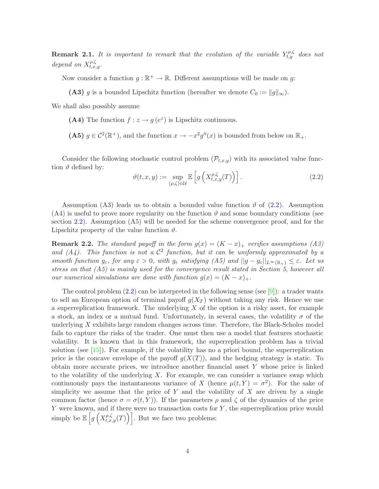**Remark 2.1.** It is important to remark that the evolution of the variable  $Y_{t,y}^{\rho,\zeta}$  does not depend on  $X^{\rho,\zeta}_{t,x,y}$ .

Now consider a function  $g : \mathbb{R}^+ \to \mathbb{R}$ . Different assumptions will be made on g:

(A3) g is a bounded Lipschitz function (hereafter we denote  $C_0 := ||g||_{\infty}$ ).

We shall also possibly assume

(A4) The function  $f : z \to g(e^z)$  is Lipschitz continuous.

(A5) 
$$
g \in C^2(\mathbb{R}^+)
$$
, and the function  $x \to -x^2g''(x)$  is bounded from below on  $\mathbb{R}_+$ .

<span id="page-3-0"></span>Consider the following stochastic control problem  $(\mathcal{P}_{t,x,y})$  with its associated value function  $\vartheta$  defined by:

$$
\vartheta(t,x,y) := \sup_{(\rho,\zeta)\in\mathcal{U}} \mathbb{E}\left[g\left(X_{t,x,y}^{\rho,\zeta}(T)\right)\right].\tag{2.2}
$$

Assumption (A3) leads us to obtain a bounded value function  $\vartheta$  of [\(2.2\)](#page-3-0). Assumption (A4) is useful to prove more regularity on the function  $\vartheta$  and some boundary conditions (see section [2.2\)](#page-8-0). Assumption (A5) will be needed for the scheme convergence proof, and for the Lipschitz property of the value function  $\vartheta$ .

**Remark 2.2.** The standard payoff in the form  $g(x) = (K - x)_{+}$  verifies assumptions (A3) and  $(A_4)$ . This function is not a  $C^2$  function, but it can be uniformly approximated by a smooth function  $g_{\varepsilon}$ , for any  $\varepsilon > 0$ , with  $g_{\varepsilon}$  satisfying  $(A5)$  and  $||g - g_{\varepsilon}||_{L^{\infty}(\mathbb{R}_+)} \leq \varepsilon$ . Let us stress on that  $(A5)$  is mainly used for the convergence result stated in Section 5, however all our numerical simulations are done with function  $g(x) = (K - x)_+$ .

The control problem  $(2.2)$  can be interpreted in the following sense (see [\[9\]](#page-33-1)): a trader wants to sell an European option of terminal payoff  $q(X_T)$  without taking any risk. Hence we use a superreplication framework. The underlying  $X$  of the option is a risky asset, for example a stock, an index or a mutual fund. Unfortunately, in several cases, the volatility  $\sigma$  of the underlying  $X$  exhibits large random changes across time. Therefore, the Black-Scholes model fails to capture the risks of the trader. One must then use a model that features stochastic volatility. It is known that in this framework, the superreplication problem has a trivial solution (see [\[15\]](#page-33-0)). For example, if the volatility has no a priori bound, the superreplication price is the concave envelope of the payoff  $q(X(T))$ , and the hedging strategy is static. To obtain more accurate prices, we introduce another financial asset Y whose price is linked to the volatility of the underlying  $X$ . For example, we can consider a variance swap which continuously pays the instantaneous variance of X (hence  $\mu(t, Y) = \sigma^2$ ). For the sake of simplicity we assume that the price of  $Y$  and the volatility of  $X$  are driven by a single common factor (hence  $\sigma = \sigma(t, Y)$ ). If the parameters  $\rho$  and  $\zeta$  of the dynamics of the price Y were known, and if there were no transaction costs for  $Y$ , the superreplication price would simply be  $\mathbb{E}\left[g\left(X_{t,x,y}^{\rho,\zeta}(T)\right)\right]$ . But we face two problems: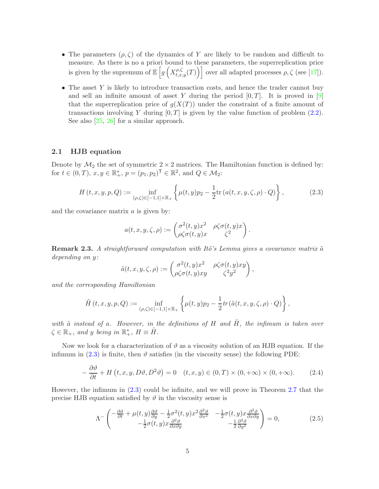- The parameters  $(\rho, \zeta)$  of the dynamics of Y are likely to be random and difficult to measure. As there is no a priori bound to these parameters, the superreplication price is given by the supremum of  $\mathbb{E}\left[g\left(X_{t,x,y}^{\rho,\zeta}(T)\right)\right]$  over all adapted processes  $\rho,\zeta$  (see [\[17\]](#page-33-9)).
- The asset  $Y$  is likely to introduce transaction costs, and hence the trader cannot buy and sell an infinite amount of asset Y during the period  $[0, T]$ . It is proved in  $[9]$ that the superreplication price of  $g(X(T))$  under the constraint of a finite amount of transactions involving Y during  $[0, T]$  is given by the value function of problem  $(2.2)$ . See also [\[25,](#page-34-0) [26\]](#page-34-1) for a similar approach.

#### 2.1 HJB equation

Denote by  $\mathcal{M}_2$  the set of symmetric  $2 \times 2$  matrices. The Hamiltonian function is defined by: for  $t \in (0, T), x, y \in \mathbb{R}_+^*, p = (p_1, p_2)^\mathsf{T} \in \mathbb{R}^2$ , and  $Q \in \mathcal{M}_2$ :

$$
H(t, x, y, p, Q) := \inf_{(\rho, \zeta) \in [-1, 1] \times \mathbb{R}_+} \left\{ \mu(t, y) p_2 - \frac{1}{2} \text{tr} \left( a(t, x, y, \zeta, \rho) \cdot Q \right) \right\},\tag{2.3}
$$

<span id="page-4-0"></span>and the covariance matrix a is given by:

$$
a(t, x, y, \zeta, \rho) := \begin{pmatrix} \sigma^2(t, y)x^2 & \rho \zeta \sigma(t, y)x \\ \rho \zeta \sigma(t, y)x & \zeta^2 \end{pmatrix}.
$$

**Remark 2.3.** A straightforward computation with Itô's Lemma gives a covariance matrix  $\tilde{a}$ depending on y:

$$
\tilde{a}(t, x, y, \zeta, \rho) := \begin{pmatrix} \sigma^2(t, y)x^2 & \rho \zeta \sigma(t, y)xy \\ \rho \zeta \sigma(t, y)xy & \zeta^2 y^2 \end{pmatrix},
$$

and the corresponding Hamiltonian

$$
\tilde{H}(t,x,y,p,Q) := \inf_{(\rho,\zeta)\in[-1,1]\times\mathbb{R}_+} \left\{ \mu(t,y)p_2 - \frac{1}{2}tr(\tilde{a}(t,x,y,\zeta,\rho)\cdot Q) \right\},\,
$$

with  $\tilde{a}$  instead of a. However, in the definitions of H and  $\tilde{H}$ , the infimum is taken over  $\zeta \in \mathbb{R}_+$ , and y being in  $\mathbb{R}_+^*$ ,  $H \equiv \tilde{H}$ .

Now we look for a characterization of  $\vartheta$  as a viscosity solution of an HJB equation. If the infimum in  $(2.3)$  is finite, then  $\vartheta$  satisfies (in the viscosity sense) the following PDE:

$$
-\frac{\partial \vartheta}{\partial t} + H(t, x, y, D\vartheta, D^2\vartheta) = 0 \quad (t, x, y) \in (0, T) \times (0, +\infty) \times (0, +\infty). \tag{2.4}
$$

<span id="page-4-2"></span><span id="page-4-1"></span>However, the infimum in [\(2.3\)](#page-4-0) could be infinite, and we will prove in Theorem [2.7](#page-6-0) that the precise HJB equation satisfied by  $\vartheta$  in the viscosity sense is

$$
\Lambda^{-}\left(\begin{matrix}-\frac{\partial\vartheta}{\partial t}+\mu(t,y)\frac{\partial\vartheta}{\partial y}-\frac{1}{2}\sigma^{2}(t,y)x^{2}\frac{\partial^{2}\vartheta}{\partial x^{2}} & -\frac{1}{2}\sigma(t,y)x\frac{\partial^{2}\vartheta}{\partial x\partial y} \\ -\frac{1}{2}\sigma(t,y)x\frac{\partial^{2}\vartheta}{\partial x\partial y} & -\frac{1}{2}\frac{\partial^{2}\vartheta}{\partial y^{2}}\end{matrix}\right)=0,
$$
\n(2.5)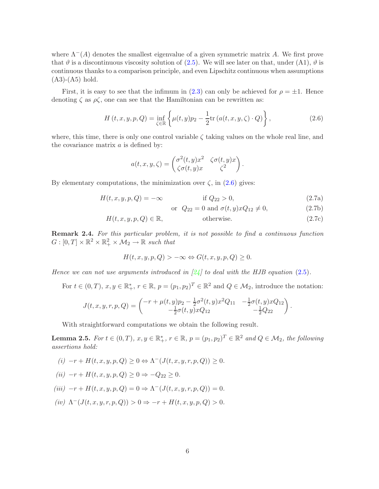where  $\Lambda^{-}(A)$  denotes the smallest eigenvalue of a given symmetric matrix A. We first prove that  $\vartheta$  is a discontinuous viscosity solution of [\(2.5\)](#page-4-1). We will see later on that, under (A1),  $\vartheta$  is continuous thanks to a comparison principle, and even Lipschitz continuous when assumptions  $(A3)-(A5)$  hold.

First, it is easy to see that the infimum in [\(2.3\)](#page-4-0) can only be achieved for  $\rho = \pm 1$ . Hence denoting  $\zeta$  as  $\rho \zeta$ , one can see that the Hamiltonian can be rewritten as:

$$
H(t, x, y, p, Q) = \inf_{\zeta \in \mathbb{R}} \left\{ \mu(t, y) p_2 - \frac{1}{2} \text{tr} \left( a(t, x, y, \zeta) \cdot Q \right) \right\},\tag{2.6}
$$

where, this time, there is only one control variable  $\zeta$  taking values on the whole real line, and the covariance matrix  $a$  is defined by:

$$
a(t, x, y, \zeta) = \begin{pmatrix} \sigma^2(t, y)x^2 & \zeta \sigma(t, y)x \\ \zeta \sigma(t, y)x & \zeta^2 \end{pmatrix}.
$$

By elementary computations, the minimization over  $\zeta$ , in  $(2.6)$  gives:

$$
H(t, x, y, p, Q) = -\infty \qquad \text{if } Q_{22} > 0,
$$
\n(2.7a)

<span id="page-5-0"></span>or  $Q_{22} = 0$  and  $\sigma(t, y)xQ_{12} \neq 0$ , (2.7b)

$$
H(t, x, y, p, Q) \in \mathbb{R}, \qquad \text{otherwise.} \tag{2.7c}
$$

Remark 2.4. For this particular problem, it is not possible to find a continuous function  $G: [0, T] \times \mathbb{R}^2 \times \mathbb{R}^2_+ \times \mathcal{M}_2 \to \mathbb{R}$  such that

$$
H(t, x, y, p, Q) > -\infty \Leftrightarrow G(t, x, y, p, Q) \ge 0.
$$

Hence we can not use arguments introduced in  $[24]$  to deal with the HJB equation [\(2.5\)](#page-4-1).

For  $t \in (0,T)$ ,  $x, y \in \mathbb{R}_+^*$ ,  $r \in \mathbb{R}$ ,  $p = (p_1, p_2)^T \in \mathbb{R}^2$  and  $Q \in \mathcal{M}_2$ , introduce the notation:

$$
J(t, x, y, r, p, Q) = \begin{pmatrix} -r + \mu(t, y)p_2 - \frac{1}{2}\sigma^2(t, y)x^2Q_{11} & -\frac{1}{2}\sigma(t, y)xQ_{12} \\ -\frac{1}{2}\sigma(t, y)xQ_{12} & -\frac{1}{2}Q_{22} \end{pmatrix}.
$$

With straightforward computations we obtain the following result.

<span id="page-5-1"></span>**Lemma 2.5.** For  $t \in (0,T)$ ,  $x, y \in \mathbb{R}^*_+$ ,  $r \in \mathbb{R}$ ,  $p = (p_1, p_2)^T \in \mathbb{R}^2$  and  $Q \in \mathcal{M}_2$ , the following assertions hold:

 $(i)$  -r +  $H(t, x, y, p, Q) \ge 0 \Leftrightarrow \Lambda^{-}(J(t, x, y, r, p, Q)) \ge 0.$  $(ii)$  +  $H(t, 0)$   $\geq 0$ ,  $\geq 0$ 

$$
(ii) \ -r + H(t, x, y, p, Q) \ge 0 \Rightarrow -Q_{22} \ge 0.
$$
  

$$
(iii) \ -r + H(t, x, y, p, Q) = 0 \Rightarrow \Lambda^{-}(J(t, x, y, r, p, Q)) = 0.
$$

(iv)  $\Lambda^{-}(J(t, x, y, r, p, Q)) > 0 \Rightarrow -r + H(t, x, y, p, Q) > 0.$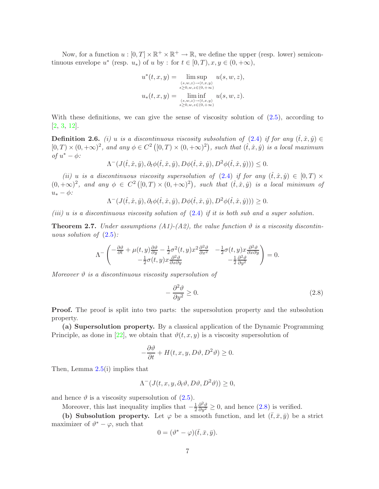Now, for a function  $u : [0, T] \times \mathbb{R}^+ \times \mathbb{R}^+ \to \mathbb{R}$ , we define the upper (resp. lower) semicontinuous envelope  $u^*$  (resp.  $u_*$ ) of  $u$  by : for  $t \in [0, T), x, y \in (0, +\infty)$ ,

$$
u^*(t, x, y) = \limsup_{\substack{(s, w, z) \to (t, x, y) \\ s \ge 0, w, z \in (0, +\infty)}} u(s, w, z),
$$
  

$$
u_*(t, x, y) = \liminf_{\substack{(s, w, z) \to (t, x, y) \\ s \ge 0, w, z \in (0, +\infty)}} u(s, w, z).
$$

With these definitions, we can give the sense of viscosity solution of  $(2.5)$ , according to [\[2,](#page-32-1) [3,](#page-32-2) [12\]](#page-33-10).

**Definition 2.6.** (i) u is a discontinuous viscosity subsolution of  $(2.4)$  if for any  $(\hat{t}, \hat{x}, \hat{y}) \in$  $[0, T) \times (0, +\infty)^2$ , and any  $\phi \in C^2([0, T) \times (0, +\infty)^2)$ , such that  $(\hat{t}, \hat{x}, \hat{y})$  is a local maximum of  $u^* - \phi$ :

 $\Lambda^-(J(\hat{t}, \hat{x}, \hat{y}), \partial_t \phi(\hat{t}, \hat{x}, \hat{y}), D\phi(\hat{t}, \hat{x}, \hat{y}), D^2\phi(\hat{t}, \hat{x}, \hat{y})) \leq 0.$ 

(ii) u is a discontinuous viscosity supersolution of [\(2.4\)](#page-4-2) if for any  $(\hat{t}, \hat{x}, \hat{y}) \in [0, T) \times$  $(0, +\infty)^2$ , and any  $\phi \in C^2([0, T) \times (0, +\infty)^2)$ , such that  $(\hat{t}, \hat{x}, \hat{y})$  is a local minimum of  $u_* - \phi$ :

 $\Lambda^{-}(J(\hat{t}, \hat{x}, \hat{y}), \partial_t \phi(\hat{t}, \hat{x}, \hat{y}), D\phi(\hat{t}, \hat{x}, \hat{y}), D^2\phi(\hat{t}, \hat{x}, \hat{y})) \geq 0.$ 

<span id="page-6-0"></span>(iii) u is a discontinuous viscosity solution of  $(2.4)$  if it is both sub and a super solution.

**Theorem 2.7.** Under assumptions  $(A1)$ - $(A2)$ , the value function  $\vartheta$  is a viscosity discontinuous solution of  $(2.5)$ :

$$
\Lambda^{-}\begin{pmatrix} -\frac{\partial\vartheta}{\partial t} + \mu(t,y)\frac{\partial\vartheta}{\partial y} - \frac{1}{2}\sigma^2(t,y)x^2\frac{\partial^2\vartheta}{\partial x^2} & -\frac{1}{2}\sigma(t,y)x\frac{\partial^2\vartheta}{\partial x\partial y} \\ -\frac{1}{2}\sigma(t,y)x\frac{\partial^2\vartheta}{\partial x\partial y} & -\frac{1}{2}\frac{\partial^2\vartheta}{\partial y^2} \end{pmatrix} = 0.
$$

Moreover  $\vartheta$  is a discontinuous viscosity supersolution of

<span id="page-6-1"></span>
$$
-\frac{\partial^2 \vartheta}{\partial y^2} \ge 0. \tag{2.8}
$$

**Proof.** The proof is split into two parts: the supersolution property and the subsolution property.

(a) Supersolution property. By a classical application of the Dynamic Programming Principle, as done in [\[22\]](#page-34-4), we obtain that  $\vartheta(t, x, y)$  is a viscosity supersolution of

$$
-\frac{\partial \vartheta}{\partial t} + H(t, x, y, D\vartheta, D^2\vartheta) \ge 0.
$$

Then, Lemma [2.5\(](#page-5-1)i) implies that

$$
\Lambda^{-}(J(t,x,y,\partial_{t}\vartheta,D\vartheta,D^{2}\vartheta))\geq0,
$$

and hence  $\vartheta$  is a viscosity supersolution of  $(2.5)$ .

Moreover, this last inequality implies that  $-\frac{1}{2}$ 2  $\frac{\partial^2 \vartheta}{\partial y^2} \geq 0$ , and hence  $(2.8)$  is verified.

(b) Subsolution property. Let  $\varphi$  be a smooth function, and let  $(\bar{t}, \bar{x}, \bar{y})$  be a strict maximizer of  $\vartheta^* - \varphi$ , such that

$$
0 = (\vartheta^* - \varphi)(\bar{t}, \bar{x}, \bar{y}).
$$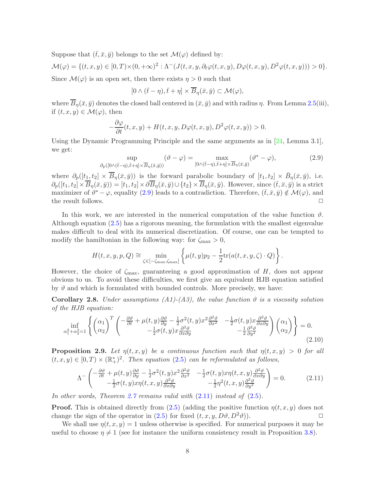Suppose that  $(\bar{t}, \bar{x}, \bar{y})$  belongs to the set  $\mathcal{M}(\varphi)$  defined by:

$$
\mathcal{M}(\varphi) = \{(t, x, y) \in [0, T) \times (0, +\infty)^2 : \Lambda^-(J(t, x, y, \partial_t \varphi(t, x, y), D\varphi(t, x, y), D^2\varphi(t, x, y))) > 0\}.
$$

Since  $\mathcal{M}(\varphi)$  is an open set, then there exists  $\eta > 0$  such that

$$
[0 \wedge (\bar{t} - \eta), \bar{t} + \eta] \times \overline{B}_{\eta}(\bar{x}, \bar{y}) \subset \mathcal{M}(\varphi),
$$

where  $\overline{B}_n(\bar{x}, \bar{y})$  denotes the closed ball centered in  $(\bar{x}, \bar{y})$  and with radius  $\eta$ . From Lemma [2.5\(](#page-5-1)iii), if  $(t, x, y) \in \mathcal{M}(\varphi)$ , then

$$
-\frac{\partial \varphi}{\partial t}(t,x,y) + H(t,x,y,D\varphi(t,x,y),D^2\varphi(t,x,y)) > 0.
$$

<span id="page-7-0"></span>Using the Dynamic Programming Principle and the same arguments as in [\[24,](#page-34-3) Lemma 3.1], we get:

$$
\sup_{\partial_p([0\wedge(\bar{t}-\eta),\bar{t}+\eta]\times\overline{B}_{\eta}(\bar{x},\bar{y}))}(\vartheta-\varphi) = \max_{[0\wedge(\bar{t}-\eta),\bar{t}+\eta]\times\overline{B}_{\eta}(\bar{x},\bar{y})}(\vartheta^*-\varphi),\tag{2.9}
$$

where  $\partial_p([t_1, t_2] \times \overline{B}_{\eta}(\overline{x}, \overline{y}))$  is the forward parabolic boundary of  $[t_1, t_2] \times \overline{B}_{\eta}(\overline{x}, \overline{y})$ , i.e.  $\partial_p([t_1, t_2] \times \overline{B}_\eta(\bar{x}, \bar{y})) = [t_1, t_2] \times \partial \overline{B}_\eta(\bar{x}, \bar{y}) \cup \{t_2\} \times \overline{B}_\eta(\bar{x}, \bar{y})$ . However, since  $(\bar{t}, \bar{x}, \bar{y})$  is a strict maximizer of  $\vartheta^* - \varphi$ , equality [\(2.9\)](#page-7-0) leads to a contradiction. Therefore,  $(\bar{t}, \bar{x}, \bar{y}) \notin \mathcal{M}(\varphi)$ , and the result follows.  $\Box$ 

In this work, we are interested in the numerical computation of the value function  $\vartheta$ . Although equation [\(2.5\)](#page-4-1) has a rigorous meaning, the formulation with the smallest eigenvalue makes difficult to deal with its numerical discretization. Of course, one can be tempted to modify the hamiltonian in the following way: for  $\zeta_{\text{max}} > 0$ ,

$$
H(t, x, y, p, Q) \cong \min_{\zeta \in [-\zeta_{\text{max}}, \zeta_{\text{max}}]} \left\{ \mu(t, y) p_2 - \frac{1}{2} \text{tr}(a(t, x, y, \zeta) \cdot Q) \right\}.
$$

However, the choice of  $\zeta_{\text{max}}$ , guaranteeing a good approximation of H, does not appear obvious to us. To avoid these difficulties, we first give an equivalent HJB equation satisfied by  $\vartheta$  and which is formulated with bounded controls. More precisely, we have:

**Corollary 2.8.** Under assumptions (A1)-(A3), the value function  $\vartheta$  is a viscosity solution of the HJB equation:

$$
\inf_{\alpha_1^2 + \alpha_2^2 = 1} \left\{ \begin{pmatrix} \alpha_1 \\ \alpha_2 \end{pmatrix}^T \begin{pmatrix} -\frac{\partial \vartheta}{\partial t} + \mu(t, y) \frac{\partial \vartheta}{\partial y} - \frac{1}{2} \sigma^2(t, y) x^2 \frac{\partial^2 \vartheta}{\partial x^2} & -\frac{1}{2} \sigma(t, y) x \frac{\partial^2 \vartheta}{\partial x \partial y} \\ -\frac{1}{2} \sigma(t, y) x \frac{\partial^2 \vartheta}{\partial x \partial y} & -\frac{1}{2} \frac{\partial^2 \vartheta}{\partial y^2} \end{pmatrix} \begin{pmatrix} \alpha_1 \\ \alpha_2 \end{pmatrix} \right\} = 0.
$$
\n(2.10)

**Proposition 2.9.** Let  $\eta(t, x, y)$  be a continuous function such that  $\eta(t, x, y) > 0$  for all  $(t, x, y) \in [0, T) \times (\mathbb{R}^*_+)^2$ . Then equation [\(2.5\)](#page-4-1) can be reformulated as follows,

$$
\Lambda^{-}\begin{pmatrix} -\frac{\partial\vartheta}{\partial t} + \mu(t,y)\frac{\partial\vartheta}{\partial y} - \frac{1}{2}\sigma^2(t,y)x^2\frac{\partial^2\vartheta}{\partial x^2} & -\frac{1}{2}\sigma(t,y)x\eta(t,x,y)\frac{\partial^2\vartheta}{\partial x\partial y} \\ -\frac{1}{2}\sigma(t,y)x\eta(t,x,y)\frac{\partial^2\vartheta}{\partial x\partial y} & -\frac{1}{2}\eta^2(t,x,y)\frac{\partial^2\vartheta}{\partial y^2} \end{pmatrix} = 0.
$$
 (2.11)

<span id="page-7-1"></span>In other words, Theorem [2.7](#page-6-0) remains valid with  $(2.11)$  instead of  $(2.5)$ .

**Proof.** This is obtained directly from  $(2.5)$  (adding the positive function  $\eta(t, x, y)$  does not change the sign of the operator in [\(2.5\)](#page-4-1) for fixed  $(t, x, y, D\vartheta, D^2\vartheta)$ .

We shall use  $\eta(t, x, y) = 1$  unless otherwise is specified. For numerical purposes it may be useful to choose  $\eta \neq 1$  (see for instance the uniform consistency result in Proposition [3.8\)](#page-18-0).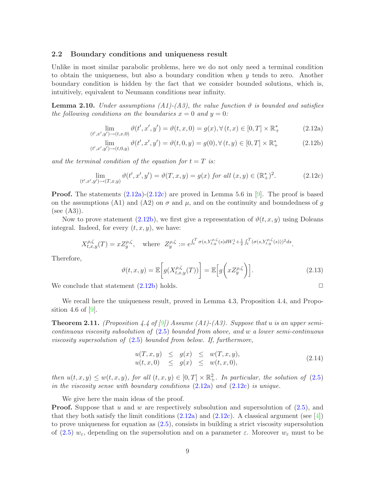#### <span id="page-8-0"></span>2.2 Boundary conditions and uniqueness result

Unlike in most similar parabolic problems, here we do not only need a terminal condition to obtain the uniqueness, but also a boundary condition when  $y$  tends to zero. Another boundary condition is hidden by the fact that we consider bounded solutions, which is, intuitively, equivalent to Neumann conditions near infinity.

<span id="page-8-1"></span>**Lemma 2.10.** Under assumptions (A1)-(A3), the value function  $\vartheta$  is bounded and satisfies the following conditions on the boundaries  $x = 0$  and  $y = 0$ :

$$
\lim_{(t',x',y') \to (t,x,0)} \vartheta(t',x',y') = \vartheta(t,x,0) = g(x), \forall (t,x) \in [0,T] \times \mathbb{R}_+^*
$$
\n(2.12a)

$$
\lim_{(t',x',y') \to (t,0,y)} \vartheta(t',x',y') = \vartheta(t,0,y) = g(0), \forall (t,y) \in [0,T] \times \mathbb{R}_+^*
$$
\n(2.12b)

<span id="page-8-2"></span>and the terminal condition of the equation for  $t = T$  is:

$$
\lim_{(t',x',y') \to (T,x,y)} \vartheta(t',x',y') = \vartheta(T,x,y) = g(x) \text{ for all } (x,y) \in (\mathbb{R}_+^*)^2. \tag{2.12c}
$$

**Proof.** The statements  $(2.12a)-(2.12c)$  $(2.12a)-(2.12c)$  are proved in Lemma 5.6 in [\[9\]](#page-33-1). The proof is based on the assumptions (A1) and (A2) on  $\sigma$  and  $\mu$ , and on the continuity and boundedness of g  $(see (A3)).$ 

Now to prove statement [\(2.12b\)](#page-8-1), we first give a representation of  $\vartheta(t, x, y)$  using Doleans integral. Indeed, for every  $(t, x, y)$ , we have:

$$
X_{t,x,y}^{\rho,\zeta}(T) = xZ_y^{\rho,\zeta}, \quad \text{where} \ \ Z_y^{\rho,\zeta} := e^{\int_t^T \sigma(s,Y_{t,y}^{\rho,\zeta}(s)dW_s^1 + \frac{1}{2}\int_t^T (\sigma(s,Y_{t,y}^{\rho,\zeta}(s)))^2ds}.
$$

<span id="page-8-4"></span>Therefore,

$$
\vartheta(t,x,y) = \mathbb{E}\bigg[g(X_{t,x,y}^{\rho,\zeta}(T))\bigg] = \mathbb{E}\bigg[g\bigg(xZ_y^{\rho,\zeta}\bigg)\bigg].\tag{2.13}
$$

We conclude that statement  $(2.12b)$  holds.  $\Box$ 

<span id="page-8-5"></span>We recall here the uniqueness result, proved in Lemma 4.3, Proposition 4.4, and Proposition 4.6 of 
$$
[9]
$$
.

**Theorem 2.11.** (Proposition 4.4 of [\[9\]](#page-33-1)) Assume (A1)-(A3). Suppose that u is an upper semicontinuous viscosity subsolution of [\(2.5\)](#page-4-1) bounded from above, and w a lower semi-continuous viscosity supersolution of  $(2.5)$  bounded from below. If, furthermore,

$$
u(T, x, y) \leq g(x) \leq w(T, x, y), u(t, x, 0) \leq g(x) \leq w(t, x, 0),
$$
 (2.14)

<span id="page-8-3"></span>then  $u(t, x, y) \leq w(t, x, y)$ , for all  $(t, x, y) \in [0, T] \times \mathbb{R}^2_+$ . In particular, the solution of  $(2.5)$ in the viscosity sense with boundary conditions  $(2.12a)$  and  $(2.12c)$  is unique.

We give here the main ideas of the proof. **Proof.** Suppose that u and w are respectively subsolution and supersolution of  $(2.5)$ , and that they both satisfy the limit conditions  $(2.12a)$  and  $(2.12c)$ . A classical argument (see [\[4\]](#page-32-3)) to prove uniqueness for equation as [\(2.5\)](#page-4-1), consists in building a strict viscosity supersolution of [\(2.5\)](#page-4-1)  $w_{\varepsilon}$ , depending on the supersolution and on a parameter  $\varepsilon$ . Moreover  $w_{\varepsilon}$  must to be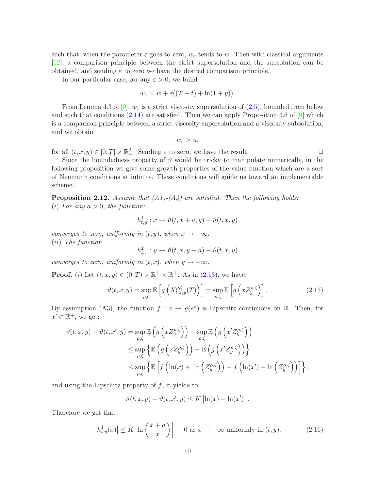such that, when the parameter  $\varepsilon$  goes to zero,  $w_{\varepsilon}$  tends to w. Then with classical arguments [\[12\]](#page-33-10), a comparison principle between the strict supersolution and the subsolution can be obtained, and sending  $\varepsilon$  to zero we have the desired comparison principle.

In our particular case, for any  $\varepsilon > 0$ , we build

$$
w_{\varepsilon} = w + \varepsilon ((T - t) + \ln(1 + y)).
$$

From Lemma 4.3 of [\[9\]](#page-33-1),  $w_{\varepsilon}$  is a strict viscosity supersolution of [\(2.5\)](#page-4-1), bounded from below and such that conditions  $(2.14)$  are satisfied. Then we can apply Proposition 4.6 of  $[9]$  which is a comparison principle between a strict viscosity supersolution and a viscosity subsolution, and we obtain

$$
w_{\varepsilon}\geq u,
$$

for all  $(t, x, y) \in [0, T] \times \mathbb{R}^2_+$ . Sending  $\varepsilon$  to zero, we have the result.

Since the boundedness property of  $\vartheta$  would be tricky to manipulate numerically, in the following proposition we give some growth properties of the value function which are a sort of Neumann conditions at infinity. These conditions will guide us toward an implementable scheme.

<span id="page-9-0"></span>**Proposition 2.12.** Assume that  $(A1)$ - $(A4)$  are satisfied. Then the following holds: (i) For any  $a > 0$ , the function:

$$
h_{t,y}^1: x \to \vartheta(t, x + a, y) - \vartheta(t, x, y)
$$

converges to zero, uniformly in  $(t, y)$ , when  $x \to +\infty$ . (ii) The function

$$
h_{t,x}^2: y \to \vartheta(t,x,y+a) - \vartheta(t,x,y)
$$

converges to zero, uniformly in  $(t, x)$ , when  $y \to +\infty$ .

**Proof.** (*i*) Let  $(t, x, y) \in (0, T) \times \mathbb{R}^+ \times \mathbb{R}^+$ . As in [\(2.13\)](#page-8-4), we have:

$$
\vartheta(t, x, y) = \sup_{\rho, \zeta} \mathbb{E}\left[g\left(X_{t, x, y}^{\rho, \zeta}(T)\right)\right] = \sup_{\rho, \zeta} \mathbb{E}\left[g\left(xZ_{y}^{\rho, \zeta}\right)\right].\tag{2.15}
$$

By assumption (A3), the function  $f: z \to g(e^z)$  is Lipschitz continuous on R. Then, for  $x' \in \mathbb{R}^+$ , we get:

$$
\vartheta(t, x, y) - \vartheta(t, x', y) = \sup_{\rho, \zeta} \mathbb{E}\left(g\left(xZ_y^{\rho, \zeta}\right)\right) - \sup_{\rho, \zeta} \mathbb{E}\left(g\left(x'Z_y^{\rho, \zeta}\right)\right)
$$
  
\n
$$
\leq \sup_{\rho, \zeta} \left\{\mathbb{E}\left(g\left(xZ_y^{\rho, \zeta}\right)\right) - \mathbb{E}\left(g\left(x'Z_y^{\rho, \zeta}\right)\right)\right\}
$$
  
\n
$$
\leq \sup_{\rho, \zeta} \left\{\mathbb{E}\left[f\left(\ln(x) + \ln\left(Z_y^{\rho, \zeta}\right)\right) - f\left(\ln(x') + \ln\left(Z_y^{\rho, \zeta}\right)\right)\right]\right\},
$$

and using the Lipschitz property of  $f$ , it yields to:

$$
\vartheta(t, x, y) - \vartheta(t, x', y) \leq K \left| \ln(x) - \ln(x') \right|.
$$

Therefore we get that

$$
\left| h_{t,y}^1(x) \right| \le K \left| \ln \left( \frac{x+a}{x} \right) \right| \to 0 \text{ as } x \to +\infty \text{ uniformly in } (t,y). \tag{2.16}
$$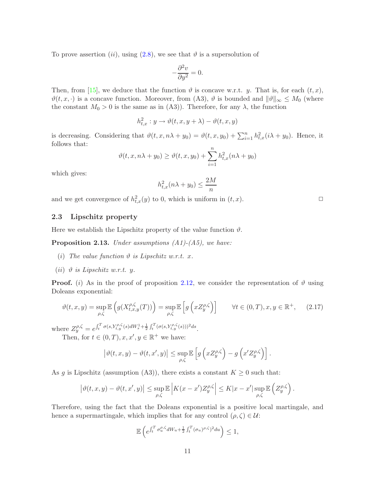To prove assertion (ii), using [\(2.8\)](#page-6-1), we see that  $\vartheta$  is a supersolution of

$$
-\frac{\partial^2 v}{\partial y^2} = 0.
$$

Then, from [\[15\]](#page-33-0), we deduce that the function  $\vartheta$  is concave w.r.t. y. That is, for each  $(t, x)$ ,  $\vartheta(t, x, \cdot)$  is a concave function. Moreover, from (A3),  $\vartheta$  is bounded and  $\|\vartheta\|_{\infty} \leq M_0$  (where the constant  $M_0 > 0$  is the same as in (A3)). Therefore, for any  $\lambda$ , the function

$$
h_{t,x}^2: y \to \vartheta(t,x,y+\lambda) - \vartheta(t,x,y)
$$

is decreasing. Considering that  $\vartheta(t, x, n\lambda + y_0) = \vartheta(t, x, y_0) + \sum_{i=1}^n h_{t,x}^2(i\lambda + y_0)$ . Hence, it follows that:

$$
\vartheta(t, x, n\lambda + y_0) \ge \vartheta(t, x, y_0) + \sum_{i=1}^n h_{t,x}^2(n\lambda + y_0)
$$

which gives:

$$
h_{t,x}^2(n\lambda + y_0) \le \frac{2M}{n}
$$

and we get convergence of  $h_{t,x}^2(y)$  to 0, which is uniform in  $(t, x)$ .

### 2.3 Lipschitz property

Here we establish the Lipschitz property of the value function  $\vartheta$ .

**Proposition 2.13.** Under assumptions  $(A1)$ - $(A5)$ , we have:

- (i) The value function  $\vartheta$  is Lipschitz w.r.t. x.
- (*ii*)  $\vartheta$  *is Lipschitz w.r.t.* y.

**Proof.** (i) As in the proof of proposition [2.12,](#page-9-0) we consider the representation of  $\vartheta$  using Doleans exponential:

$$
\vartheta(t,x,y) = \sup_{\rho,\zeta} \mathbb{E}\left(g(X_{t,x,y}^{\rho,\zeta}(T))\right) = \sup_{\rho,\zeta} \mathbb{E}\left[g\left(xZ_y^{\rho,\zeta}\right)\right] \qquad \forall t \in (0,T), x, y \in \mathbb{R}^+, \tag{2.17}
$$

where  $Z_y^{\rho,\zeta} = e^{\int_t^T \sigma(s,Y_{t,y}^{\rho,\zeta}(s)dW_s^1 + \frac{1}{2}\int_t^T (\sigma(s,Y_{t,y}^{\rho,\zeta}(s)))^2ds}$ .

Then, for  $t \in (0, T), x, x', y \in \mathbb{R}^+$  we have:

$$
\left|\vartheta(t,x,y)-\vartheta(t,x',y)\right|\leq \sup_{\rho,\zeta}\mathbb{E}\left[g\left(xZ_y^{\rho,\zeta}\right)-g\left(x'Z_y^{\rho,\zeta}\right)\right].
$$

As g is Lipschitz (assumption (A3)), there exists a constant  $K \geq 0$  such that:

$$
\left|\vartheta(t,x,y)-\vartheta(t,x',y)\right|\leq \sup_{\rho,\zeta}\mathbb{E}\left|K(x-x')Z^{\rho,\zeta}_{y}\right|\leq K|x-x'| \sup_{\rho,\zeta}\mathbb{E}\left(Z^{\rho,\zeta}_{y}\right).
$$

Therefore, using the fact that the Doleans exponential is a positive local martingale, and hence a supermartingale, which implies that for any control  $(\rho, \zeta) \in \mathcal{U}$ :

$$
\mathbb{E}\left(e^{\int_t^T \sigma_u^{\rho,\zeta} dW_u + \frac{1}{2}\int_t^T (\sigma_u)^{\rho,\zeta})^2 du}\right) \le 1,
$$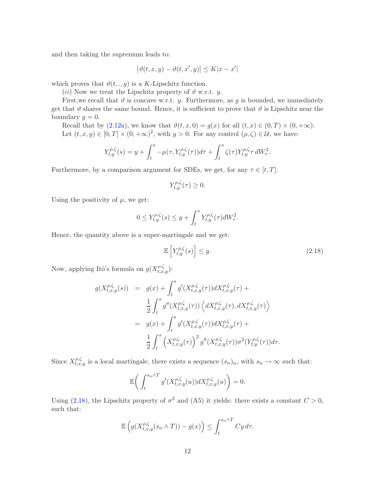and then taking the supremum leads to:

$$
\big|\vartheta(t,x,y)-\vartheta(t,x',y)\big|\leq K|x-x'|
$$

which proves that  $\vartheta(t, \cdot, y)$  is a K-Lipschitz function.

(*ii*) Now we treat the Lipschitz property of  $\vartheta$  w.r.t. y.

First, we recall that  $\vartheta$  is concave w.r.t. y. Furthermore, as g is bounded, we immediately get that  $\vartheta$  shares the same bound. Hence, it is sufficient to prove that  $\vartheta$  is Lipschitz near the boundary  $y = 0$ .

Recall that by  $(2.12a)$ , we know that  $\vartheta(t, x, 0) = g(x)$  for all  $(t, x) \in (0, T) \times (0, +\infty)$ . Let  $(t, x, y) \in [0, T] \times (0, +\infty)^2$ , with  $y > 0$ . For any control  $(\rho, \zeta) \in \mathcal{U}$ , we have:

$$
Y_{t,y}^{\rho,\zeta}(s) = y + \int_t^s -\mu(\tau, Y_{t,y}^{\rho,\zeta}(\tau))d\tau + \int_t^s \zeta(\tau)Y_{t,y}^{\rho,\zeta} \tau dW_{\tau}^2.
$$

Furthermore, by a comparison argument for SDEs, we get, for any  $\tau \in [t, T]$ :

$$
Y_{t,y}^{\rho,\zeta}(\tau) \ge 0.
$$

Using the positivity of  $\mu$ , we get:

$$
0 \le Y_{t,y}^{\rho,\zeta}(s) \le y + \int_t^s Y_{t,y}^{\rho,\zeta}(\tau)dW_{\tau}^2.
$$

Hence, the quantity above is a super-martingale and we get:

$$
\mathbb{E}\left[Y_{t,y}^{\rho,\zeta}(s)\right] \le y. \tag{2.18}
$$

Now, applying Itô's formula on  $g(X_{t,x,y}^{\rho,\zeta})$ :

<span id="page-11-0"></span>
$$
g(X_{t,x,y}^{\rho,\zeta}(s)) = g(x) + \int_t^s g'(X_{t,x,y}^{\rho,\zeta}(\tau))dX_{t,x,y}^{\rho,\zeta}(\tau) +
$$
  

$$
\frac{1}{2} \int_t^s g''(X_{t,x,y}^{\rho,\zeta}(\tau)) \left\langle dX_{t,x,y}^{\rho,\zeta}(\tau), dX_{t,x,y}^{\rho,\zeta}(\tau) \right\rangle
$$
  

$$
= g(x) + \int_t^s g'(X_{t,x,y}^{\rho,\zeta}(\tau))dX_{t,x,y}^{\rho,\zeta}(\tau) +
$$
  

$$
\frac{1}{2} \int_t^s \left(X_{t,x,y}^{\rho,\zeta}(\tau)\right)^2 g''(X_{t,x,y}^{\rho,\zeta}(\tau))\sigma^2(Y_{t,y}^{\rho,\zeta}(\tau))d\tau.
$$

Since  $X_{t,x,y}^{\rho,\zeta}$  is a local martingale, there exists a sequence  $(s_n)_n$ , with  $s_n \to \infty$  such that:

$$
\mathbb{E}\bigg(\int_t^{s_n\wedge T}g'(X^{\rho,\zeta}_{t,x,y}(u))dX^{\rho,\zeta}_{t,x,y}(u)\bigg)=0.
$$

Using [\(2.18\)](#page-11-0), the Lipschitz property of  $\sigma^2$  and (A5) it yields: there exists a constant  $C > 0$ , such that:

$$
\mathbb{E}\left(g(X_{t,x,y}^{\rho,\zeta}(s_n\wedge T)) - g(x)\right) \leq \int_t^{s_n\wedge T} Cy \,d\tau.
$$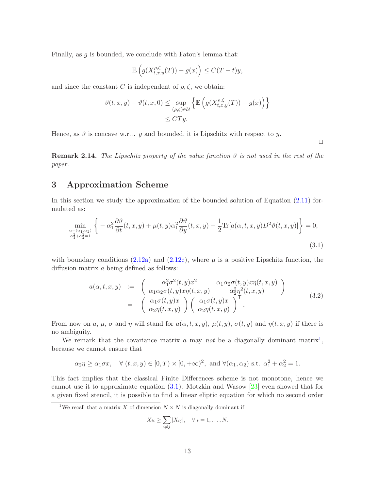Finally, as  $g$  is bounded, we conclude with Fatou's lemma that:

$$
\mathbb{E}\left(g(X_{t,x,y}^{\rho,\zeta}(T)) - g(x)\right) \le C(T-t)y,
$$

and since the constant C is independent of  $\rho, \zeta$ , we obtain:

$$
\vartheta(t, x, y) - \vartheta(t, x, 0) \le \sup_{(\rho, \zeta) \in \mathcal{U}} \left\{ \mathbb{E} \left( g(X_{t, x, y}^{\rho, \zeta}(T)) - g(x) \right) \right\}
$$
  

$$
\le C T y.
$$

Hence, as  $\vartheta$  is concave w.r.t. y and bounded, it is Lipschitz with respect to y.

 $\Box$ 

**Remark 2.14.** The Lipschitz property of the value function  $\vartheta$  is not used in the rest of the paper.

# <span id="page-12-3"></span>3 Approximation Scheme

<span id="page-12-1"></span>In this section we study the approximation of the bounded solution of Equation [\(2.11\)](#page-7-1) formulated as:

$$
\min_{\substack{\alpha = (\alpha_1, \alpha_2) \\ \alpha_1^2 + \alpha_2^2 = 1}} \left\{ -\alpha_1^2 \frac{\partial \vartheta}{\partial t}(t, x, y) + \mu(t, y)\alpha_1^2 \frac{\partial \vartheta}{\partial y}(t, x, y) - \frac{1}{2} \text{Tr}[a(\alpha, t, x, y)D^2 \vartheta(t, x, y)] \right\} = 0,
$$
\n(3.1)

with boundary conditions [\(2.12a\)](#page-8-1) and [\(2.12c\)](#page-8-2), where  $\mu$  is a positive Lipschitz function, the diffusion matrix a being defined as follows:

$$
a(\alpha, t, x, y) := \begin{pmatrix} \alpha_1^2 \sigma^2(t, y) x^2 & \alpha_1 \alpha_2 \sigma(t, y) x \eta(t, x, y) \\ \alpha_1 \alpha_2 \sigma(t, y) x \eta(t, x, y) & \alpha_2^2 \eta^2(t, x, y) \end{pmatrix}
$$
  
= 
$$
\begin{pmatrix} \alpha_1 \sigma(t, y) x \\ \alpha_2 \eta(t, x, y) \end{pmatrix} \begin{pmatrix} \alpha_1 \sigma(t, y) x \\ \alpha_2 \eta(t, x, y) \end{pmatrix}^{\mathsf{T}}
$$
(3.2)

<span id="page-12-2"></span>From now on a,  $\mu$ ,  $\sigma$  and  $\eta$  will stand for  $a(\alpha, t, x, y)$ ,  $\mu(t, y)$ ,  $\sigma(t, y)$  and  $\eta(t, x, y)$  if there is no ambiguity.

We remark that the covariance matrix  $a$  may not be a diagonally dominant matrix<sup>[1](#page-12-0)</sup>, because we cannot ensure that

$$
\alpha_2 \eta \ge \alpha_1 \sigma x
$$
,  $\forall$   $(t, x, y) \in [0, T) \times [0, +\infty)^2$ , and  $\forall$  $(\alpha_1, \alpha_2)$  s.t.  $\alpha_1^2 + \alpha_2^2 = 1$ .

This fact implies that the classical Finite Differences scheme is not monotone, hence we cannot use it to approximate equation  $(3.1)$ . Motzkin and Wasow  $[23]$  even showed that for a given fixed stencil, it is possible to find a linear eliptic equation for which no second order

$$
X_{ii} \geq \sum_{i \neq j} |X_{ij}|, \quad \forall i = 1, \dots, N.
$$

<span id="page-12-0"></span><sup>&</sup>lt;sup>1</sup>We recall that a matrix X of dimension  $N \times N$  is diagonally dominant if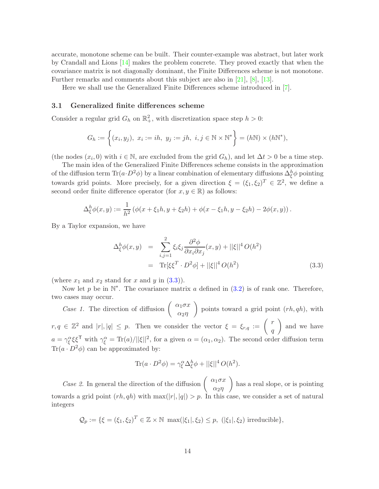accurate, monotone scheme can be built. Their counter-example was abstract, but later work by Crandall and Lions [\[14\]](#page-33-11) makes the problem concrete. They proved exactly that when the covariance matrix is not diagonally dominant, the Finite Differences scheme is not monotone. Further remarks and comments about this subject are also in [\[21\]](#page-34-5), [\[8\]](#page-33-5), [\[13\]](#page-33-4).

Here we shall use the Generalized Finite Differences scheme introduced in [\[7\]](#page-33-6).

#### 3.1 Generalized finite differences scheme

Consider a regular grid  $G_h$  on  $\mathbb{R}^2_+$ , with discretization space step  $h > 0$ :

$$
G_h := \left\{ (x_i, y_j), \ x_i := ih, \ y_j := jh, \ i, j \in \mathbb{N} \times \mathbb{N}^* \right\} = (h\mathbb{N}) \times (h\mathbb{N}^*),
$$

(the nodes  $(x_i, 0)$  with  $i \in \mathbb{N}$ , are excluded from the grid  $G_h$ ), and let  $\Delta t > 0$  be a time step.

The main idea of the Generalized Finite Differences scheme consists in the approximation of the diffusion term  $\text{Tr}(a \cdot D^2 \phi)$  by a linear combination of elementary diffusions  $\Delta_{\xi}^{h} \phi$  pointing towards grid points. More precisely, for a given direction  $\xi = (\xi_1, \xi_2)^T \in \mathbb{Z}^2$ , we define a second order finite difference operator (for  $x, y \in \mathbb{R}$ ) as follows:

$$
\Delta_{\xi}^{h} \phi(x, y) := \frac{1}{h^{2}} \left( \phi(x + \xi_{1}h, y + \xi_{2}h) + \phi(x - \xi_{1}h, y - \xi_{2}h) - 2\phi(x, y) \right).
$$

<span id="page-13-0"></span>By a Taylor expansion, we have

$$
\Delta_{\xi}^{h} \phi(x, y) = \sum_{i,j=1}^{2} \xi_{i} \xi_{j} \frac{\partial^{2} \phi}{\partial x_{i} \partial x_{j}}(x, y) + ||\xi||^{4} O(h^{2})
$$
  
= Tr $[\xi \xi^{T} \cdot D^{2} \phi] + ||\xi||^{4} O(h^{2})$  (3.3)

(where  $x_1$  and  $x_2$  stand for x and y in  $(3.3)$ ).

Now let p be in  $\mathbb{N}^*$ . The covariance matrix a defined in  $(3.2)$  is of rank one. Therefore, two cases may occur.

*Case 1.* The direction of diffusion  $\begin{pmatrix} \alpha_1 \sigma x \\ \vdots \end{pmatrix}$  $α_2η$ points toward a grid point  $(rh, qh)$ , with  $r, q \in \mathbb{Z}^2$  and  $|r|, |q| \leq p$ . Then we consider the vector  $\xi = \xi_{r,q} := \begin{pmatrix} r & r \ q \end{pmatrix}$ q and we have  $a = \gamma_{\xi}^{\alpha} \xi \xi^{\mathsf{T}}$  with  $\gamma_{\xi}^{\alpha} = \text{Tr}(a)/||\xi||^2$ , for a given  $\alpha = (\alpha_1, \alpha_2)$ . The second order diffusion term  $Tr(a \cdot D^2 \phi)$  can be approximated by:

$$
\text{Tr}(a \cdot D^2 \phi) = \gamma_{\xi}^{\alpha} \Delta_{\xi}^{h} \phi + ||\xi||^4 O(h^2).
$$

Case 2. In general the direction of the diffusion  $\begin{pmatrix} \alpha_1 \sigma x \\ \vdots \end{pmatrix}$  $α_2η$  has a real slope, or is pointing towards a grid point  $(rh, qh)$  with  $\max(|r|, |q|) > p$ . In this case, we consider a set of natural integers

$$
\mathcal{Q}_p := \{ \xi = (\xi_1, \xi_2)^T \in \mathbb{Z} \times \mathbb{N} \, \max(|\xi_1|, \xi_2) \le p, \, (|\xi_1|, \xi_2) \, \text{irreducible} \},
$$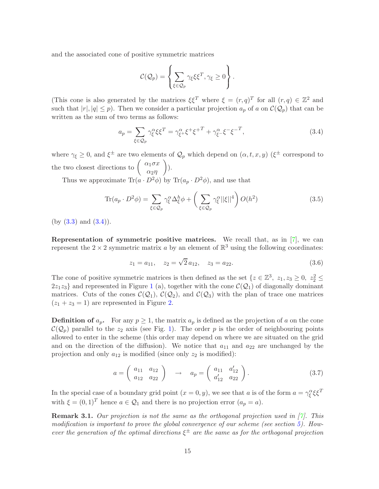and the associated cone of positive symmetric matrices

$$
\mathcal{C}(\mathcal{Q}_p) = \left\{ \sum_{\xi \in \mathcal{Q}_p} \gamma_{\xi} \xi \xi^T, \gamma_{\xi} \ge 0 \right\}.
$$

(This cone is also generated by the matrices  $\xi \xi^T$  where  $\xi = (r, q)^T$  for all  $(r, q) \in \mathbb{Z}^2$  and such that  $|r|, |q| \leq p$ . Then we consider a particular projection  $a_p$  of a on  $\mathcal{C}(\mathcal{Q}_p)$  that can be written as the sum of two terms as follows:

$$
a_p = \sum_{\xi \in \mathcal{Q}_p} \gamma_{\xi}^{\alpha} \xi \xi^T = \gamma_{\xi^+}^{\alpha} \xi^+ \xi^{+T} + \gamma_{\xi^-}^{\alpha} \xi^{-} \xi^{-T}, \tag{3.4}
$$

<span id="page-14-0"></span>where  $\gamma_{\xi} \geq 0$ , and  $\xi^{\pm}$  are two elements of  $\mathcal{Q}_p$  which depend on  $(\alpha, t, x, y)$  ( $\xi^{\pm}$  correspond to the two closest directions to  $\begin{pmatrix} \alpha_1 \sigma x \\ \vdots \\ \alpha_n \sigma x \end{pmatrix}$  $α_2η$  $\bigg).$ 

Thus we approximate  $\text{Tr}(a \cdot D^2 \phi)$  by  $\text{Tr}(a_p \cdot D^2 \phi)$ , and use that

$$
\text{Tr}(a_p \cdot D^2 \phi) = \sum_{\xi \in \mathcal{Q}_p} \gamma_{\xi}^{\alpha} \Delta_{\xi}^{h} \phi + \left(\sum_{\xi \in \mathcal{Q}_p} \gamma_{\xi}^{\alpha} ||\xi||^4\right) O(h^2)
$$
(3.5)

 $(by (3.3) and (3.4)).$  $(by (3.3) and (3.4)).$  $(by (3.3) and (3.4)).$  $(by (3.3) and (3.4)).$  $(by (3.3) and (3.4)).$ 

Representation of symmetric positive matrices. We recall that, as in  $[7]$ , we can represent the  $2 \times 2$  symmetric matrix a by an element of  $\mathbb{R}^3$  using the following coordinates:

$$
z_1 = a_{11}, \quad z_2 = \sqrt{2} a_{12}, \quad z_3 = a_{22}.
$$
 (3.6)

<span id="page-14-1"></span>The cone of positive symmetric matrices is then defined as the set  $\{z \in \mathbb{Z}^3, z_1, z_3 \geq 0, z_2^2 \leq z_3^2 \}$  $2z_1z_3$  $2z_1z_3$  $2z_1z_3$  and represented in Figure 1 (a), together with the cone  $\mathcal{C}(\mathcal{Q}_1)$  of diagonally dominant matrices. Cuts of the cones  $\mathcal{C}(\mathcal{Q}_1), \mathcal{C}(\mathcal{Q}_2)$ , and  $\mathcal{C}(\mathcal{Q}_3)$  with the plan of trace one matrices  $(z_1 + z_3 = 1)$  are represented in Figure [2.](#page-15-1)

**Definition of**  $a_p$ . For any  $p \geq 1$ , the matrix  $a_p$  is defined as the projection of a on the cone  $\mathcal{C}(\mathcal{Q}_p)$  parallel to the  $z_2$  axis (see Fig. [1\)](#page-15-0). The order p is the order of neighbouring points allowed to enter in the scheme (this order may depend on where we are situated on the grid and on the direction of the diffusion). We notice that  $a_{11}$  and  $a_{22}$  are unchanged by the projection and only  $a_{12}$  is modified (since only  $z_2$  is modified):

$$
a = \begin{pmatrix} a_{11} & a_{12} \\ a_{12} & a_{22} \end{pmatrix} \rightarrow a_p = \begin{pmatrix} a_{11} & a'_{12} \\ a'_{12} & a_{22} \end{pmatrix}.
$$
 (3.7)

<span id="page-14-2"></span>In the special case of a boundary grid point  $(x = 0, y)$ , we see that a is of the form  $a = \gamma_{\xi}^{\alpha} \xi \xi^{T}$ with  $\xi = (0, 1)^T$  hence  $a \in \mathcal{Q}_1$  and there is no projection error  $(a_p = a)$ .

**Remark 3.1.** Our projection is not the same as the orthogonal projection used in  $[7]$ . This modification is important to prove the global convergence of our scheme (see section [5\)](#page-23-0). However the generation of the optimal directions  $\xi^{\pm}$  are the same as for the orthogonal projection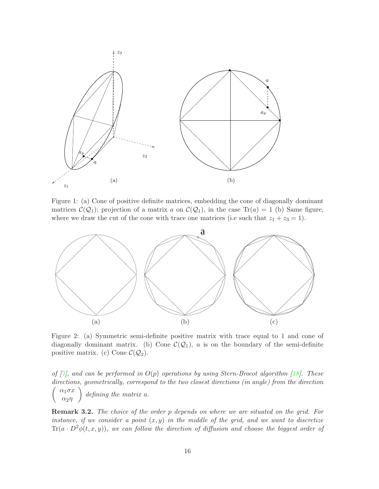

<span id="page-15-0"></span>Figure 1: (a) Cone of positive definite matrices, embedding the cone of diagonally dominant matrices  $\mathcal{C}(\mathcal{Q}_1)$ ; projection of a matrix a on  $\mathcal{C}(\mathcal{Q}_1)$ , in the case Tr(a) = 1 (b) Same figure, where we draw the cut of the cone with trace one matrices (i.e such that  $z_1 + z_3 = 1$ ).



<span id="page-15-1"></span>Figure 2: (a) Symmetric semi-definite positive matrix with trace equal to 1 and cone of diagonally dominant matrix. (b) Cone  $\mathcal{C}(\mathcal{Q}_1)$ , a is on the boundary of the semi-definite positive matrix. (c) Cone  $\mathcal{C}(\mathcal{Q}_2)$ .

of  $|7|$ , and can be performed in  $O(p)$  operations by using Stern-Brocot algorithm [\[18\]](#page-33-12). These directions, geometrically, correspond to the two closest directions (in angle) from the direction  $\sqrt{ }$  $\alpha_1\sigma x$  $\alpha_2\eta$  $\setminus$ defining the matrix a.

**Remark 3.2.** The choice of the order p depends on where we are situated on the grid. For instance, if we consider a point  $(x, y)$  in the middle of the grid, and we want to discretize  $Tr(a \cdot D^2\phi(t, x, y))$ , we can follow the direction of diffusion and choose the biggest order of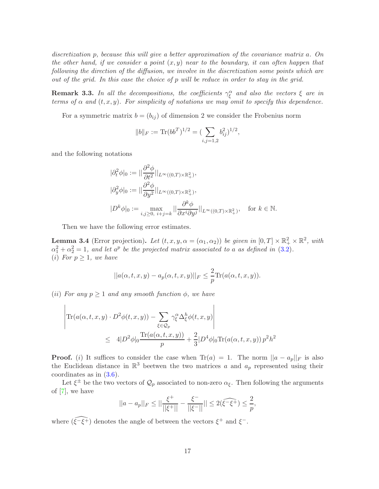discretization p, because this will give a better approximation of the covariance matrix a. On the other hand, if we consider a point  $(x, y)$  near to the boundary, it can often happen that following the direction of the diffusion, we involve in the discretization some points which are out of the grid. In this case the choice of p will be reduce in order to stay in the grid.

**Remark 3.3.** In all the decompositions, the coefficients  $\gamma_{\xi}^{\alpha}$  and also the vectors  $\xi$  are in terms of  $\alpha$  and  $(t, x, y)$ . For simplicity of notations we may omit to specify this dependence.

For a symmetric matrix  $b = (b_{ij})$  of dimension 2 we consider the Frobenius norm

$$
||b||_F := \text{Tr}(bb^T)^{1/2} = \left(\sum_{i,j=1,2} b_{ij}^2\right)^{1/2},
$$

and the following notations

$$
\begin{aligned}\n|\partial_t^2 \phi|_0 &:= ||\frac{\partial^2 \phi}{\partial t^2}||_{L^\infty((0,T)\times \mathbb{R}_+^2)}, \\
|\partial_y^2 \phi|_0 &:= ||\frac{\partial^2 \phi}{\partial y^2}||_{L^\infty((0,T)\times \mathbb{R}_+^2)}, \\
|D^k \phi|_0 &:= \max_{i,j \ge 0, \ i+j=k} ||\frac{\partial^k \phi}{\partial x^i \partial y^j}||_{L^\infty((0,T)\times \mathbb{R}_+^2)}, \quad \text{for } k \in \mathbb{N}.\n\end{aligned}
$$

Then we have the following error estimates.

<span id="page-16-0"></span>**Lemma 3.4** (Error projection). Let  $(t, x, y, \alpha = (\alpha_1, \alpha_2))$  be given in  $[0, T] \times \mathbb{R}^2_+ \times \mathbb{R}^2$ , with  $\alpha_1^2 + \alpha_2^2 = 1$ , and let  $a^p$  be the projected matrix associated to a as defined in [\(3.2\)](#page-12-2). (*i*) For  $p \geq 1$ , we have

$$
||a(\alpha, t, x, y) - a_p(\alpha, t, x, y)||_F \le \frac{2}{p} \text{Tr}(a(\alpha, t, x, y)).
$$

(ii) For any  $p \ge 1$  and any smooth function  $\phi$ , we have

$$
\left| \text{Tr}(a(\alpha, t, x, y) \cdot D^2 \phi(t, x, y)) - \sum_{\xi \in \mathcal{Q}_p} \gamma_{\xi}^{\alpha} \Delta_{\xi}^h \phi(t, x, y) \right|
$$
  
 
$$
\leq 4|D^2 \phi|_0 \frac{\text{Tr}(a(\alpha, t, x, y))}{p} + \frac{2}{3}|D^4 \phi|_0 \text{Tr}(a(\alpha, t, x, y)) p^2 h^2
$$

**Proof.** (i) It suffices to consider the case when  $Tr(a) = 1$ . The norm  $||a - a_p||_F$  is also the Euclidean distance in  $\mathbb{R}^3$  beetwen the two matrices a and  $a_p$  represented using their coordinates as in [\(3.6\)](#page-14-1).

Let  $\xi^{\pm}$  be the two vectors of  $\mathcal{Q}_p$  associated to non-zero  $\alpha_{\xi}$ . Then following the arguments of [\[7\]](#page-33-6), we have

$$
||a - a_p||_F \le ||\frac{\xi^+}{||\xi^+||} - \frac{\xi^-}{||\xi^-||}|| \le 2(\widehat{\xi^- \xi^+}) \le \frac{2}{p},
$$

where  $(\widehat{\xi^{-}\xi^{+}})$  denotes the angle of between the vectors  $\xi^{+}$  and  $\xi^{-}$ .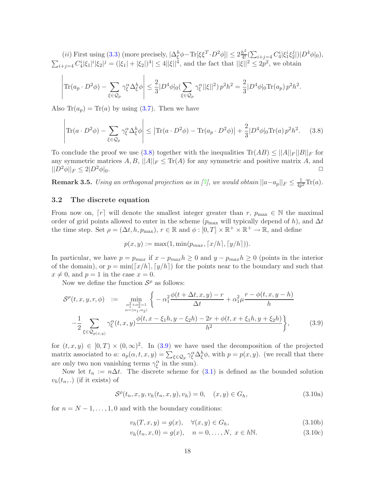(*ii*) First using [\(3.3\)](#page-13-0) (more precisely,  $|\Delta_{\xi}^{h} \phi - \text{Tr}[\xi \xi^{T} \cdot D^{2} \phi]| \leq 2 \frac{h^{2}}{4!} (\sum_{i+j=4} C_{4}^{i} | \xi_{1}^{i} \xi_{2}^{j})$  $\frac{j}{2}$ |)| $D^4\phi|_0$ ),  $\sum_{i+j=4} C_4^i |\xi_1|^i |\xi_2|^j = (|\xi_1| + |\xi_2|)^4 | \le 4 ||\xi||^4$ , and the fact that  $||\xi||^2 \le 2p^2$ , we obtain

$$
\left|\text{Tr}(a_p \cdot D^2 \phi) - \sum_{\xi \in \mathcal{Q}_p} \gamma_{\xi}^{\alpha} \Delta_{\xi}^{h} \phi \right| \leq \frac{2}{3} |D^4 \phi|_0 \left(\sum_{\xi \in \mathcal{Q}_p} \gamma_{\xi}^{\alpha} ||\xi||^2\right) p^2 h^2 = \frac{2}{3} |D^4 \phi|_0 \text{Tr}(a_p) p^2 h^2.
$$

<span id="page-17-0"></span>Also  $\text{Tr}(a_p) = \text{Tr}(a)$  by using [\(3.7\)](#page-14-2). Then we have

$$
\left|\text{Tr}(a \cdot D^2 \phi) - \sum_{\xi \in \mathcal{Q}_p} \gamma_{\xi}^{\alpha} \Delta_{\xi}^{h} \phi\right| \le \left|\text{Tr}(a \cdot D^2 \phi) - \text{Tr}(a_p \cdot D^2 \phi)\right| + \frac{2}{3} |D^4 \phi|_0 \text{Tr}(a) p^2 h^2. \tag{3.8}
$$

To conclude the proof we use [\(3.8\)](#page-17-0) together with the inequalities  $\text{Tr}(AB) \leq ||A||_F ||B||_F$  for any symmetric matrices  $A, B, ||A||_F \leq \text{Tr}(A)$  for any symmetric and positive matrix  $A$ , and  $||D^2 \phi||_F \leq 2|D^2 \phi|_F$  $||D^2\phi||_F \leq 2|D^2\phi|_0.$ 

 ${\bf Remark~3.5.} \ \ Using \ an \ orthogonal \ projection \ as \ in \ [\gamma], \ we \ would \ obtain \ ||a-a_p||_F \leq \frac{1}{4p}$  $\frac{1}{4p^2}\text{Tr}(a).$ 

### 3.2 The discrete equation

 $\overline{1}$ 

From now on,  $[r]$  will denote the smallest integer greater than r,  $p_{\text{max}} \in \mathbb{N}$  the maximal order of grid points allowed to enter in the scheme ( $p_{\text{max}}$  will typically depend of h), and  $\Delta t$ the time step. Set  $\rho = (\Delta t, h, p_{\text{max}}), r \in \mathbb{R}$  and  $\phi : [0, T] \times \mathbb{R}^+ \times \mathbb{R}^+ \to \mathbb{R}$ , and define

$$
p(x, y) := \max(1, \min(p_{max}, \lceil x/h \rceil, \lceil y/h \rceil)).
$$

In particular, we have  $p = p_{max}$  if  $x - p_{max}h \ge 0$  and  $y - p_{max}h \ge 0$  (points in the interior of the domain), or  $p = \min([x/h], [y/h])$  for the points near to the boundary and such that  $x \neq 0$ , and  $p = 1$  in the case  $x = 0$ .

Now we define the function  $S^{\rho}$  as follows:

<span id="page-17-1"></span>
$$
\mathcal{S}^{\rho}(t,x,y,r,\phi) := \min_{\substack{\alpha_1^2 + \alpha_2^2 = 1 \\ \alpha = (\alpha_1, \alpha_2)}} \left\{ -\alpha_1^2 \frac{\phi(t + \Delta t, x, y) - r}{\Delta t} + \alpha_1^2 \mu \frac{r - \phi(t, x, y - h)}{h} \right. \\ - \frac{1}{2} \sum_{\xi \in \mathcal{Q}_{p(x,y)}} \gamma_{\xi}^{\alpha}(t,x,y) \frac{\phi(t, x - \xi_1 h, y - \xi_2 h) - 2r + \phi(t, x + \xi_1 h, y + \xi_2 h)}{h^2} \left\}, \tag{3.9}
$$

for  $(t, x, y) \in [0, T) \times (0, \infty)^2$ . In  $(3.9)$  we have used the decomposition of the projected matrix associated to a:  $a_p(\alpha, t, x, y) = \sum_{\xi \in \mathcal{Q}_p} \gamma_{\xi}^{\alpha} \Delta_{\xi}^{h} \phi$ , with  $p = p(x, y)$ . (we recall that there are only two non vanishing terms  $\gamma_{\xi}^{\alpha}$  in the sum).

<span id="page-17-2"></span>Now let  $t_n := n\Delta t$ . The discrete scheme for [\(3.1\)](#page-12-1) is defined as the bounded solution  $v_h(t_n,.)$  (if it exists) of

$$
S^{\rho}(t_n, x, y, v_h(t_n, x, y), v_h) = 0, \quad (x, y) \in G_h,
$$
\n(3.10a)

for  $n = N - 1, \ldots, 1, 0$  and with the boundary conditions:

$$
v_h(T, x, y) = g(x), \quad \forall (x, y) \in G_h,
$$
\n
$$
(3.10b)
$$

$$
v_h(t_n, x, 0) = g(x), \quad n = 0, \dots, N, \ x \in h\mathbb{N}.
$$
 (3.10c)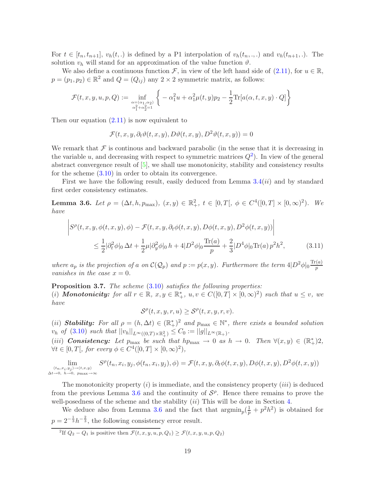For  $t \in [t_n, t_{n+1}], v_h(t, \cdot)$  is defined by a P1 interpolation of  $v_h(t_n, \cdot, \cdot)$  and  $v_h(t_{n+1}, \cdot)$ . The solution  $v_h$  will stand for an approximation of the value function  $\vartheta$ .

We also define a continuous function F, in view of the left hand side of  $(2.11)$ , for  $u \in \mathbb{R}$ ,  $p = (p_1, p_2) \in \mathbb{R}^2$  and  $Q = (Q_{ij})$  any  $2 \times 2$  symmetric matrix, as follows:

$$
\mathcal{F}(t, x, y, u, p, Q) := \inf_{\substack{\alpha = (\alpha_1, \alpha_2) \\ \alpha_1^2 + \alpha_2^2 = 1}} \left\{ -\alpha_1^2 u + \alpha_1^2 \mu(t, y) p_2 - \frac{1}{2} \text{Tr} [a(\alpha, t, x, y) \cdot Q] \right\}
$$

Then our equation [\(2.11\)](#page-7-1) is now equivalent to

$$
\mathcal{F}(t, x, y, \partial_t \vartheta(t, x, y), D\vartheta(t, x, y), D^2\vartheta(t, x, y)) = 0
$$

We remark that  $\mathcal F$  is continuous and backward parabolic (in the sense that it is decreasing in the variable u, and decreasing with respect to symmetric matrices  $Q^2$  $Q^2$ ). In view of the general abstract convergence result of [\[5\]](#page-33-8), we shall use monotonicity, stability and consistency results for the scheme [\(3.10\)](#page-17-2) in order to obtain its convergence.

<span id="page-18-2"></span>First we have the following result, easily deduced from Lemma  $3.4(ii)$  $3.4(ii)$  and by standard first order consistency estimates.

Lemma 3.6. Let  $\rho = (\Delta t, h, p_{\text{max}}), (x, y) \in \mathbb{R}^2_+, t \in [0, T], \phi \in C^4([0, T] \times [0, \infty)^2)$ . We have

<span id="page-18-3"></span>
$$
\left| S^{\rho}(t, x, y, \phi(t, x, y), \phi) - \mathcal{F}(t, x, y, \partial_t \phi(t, x, y), D\phi(t, x, y), D^2\phi(t, x, y)) \right|
$$
  

$$
\leq \frac{1}{2} |\partial_t^2 \phi|_0 \Delta t + \frac{1}{2} \mu |\partial_y^2 \phi|_0 h + 4|D^2 \phi|_0 \frac{\text{Tr}(a)}{p} + \frac{2}{3} |D^4 \phi|_0 \text{Tr}(a) p^2 h^2,
$$
 (3.11)

where  $a_p$  is the projection of a on  $\mathcal{C}(\mathcal{Q}_p)$  and  $p := p(x, y)$ . Furthermore the term  $4|D^2\phi|_0 \frac{\text{Tr}(a)}{p}$ p vanishes in the case  $x = 0$ .

<span id="page-18-4"></span>Proposition 3.7. The scheme [\(3.10\)](#page-17-2) satisfies the following properties: (i) **Monotonicity:** for all  $r \in \mathbb{R}$ ,  $x, y \in \mathbb{R}^*_+$ ,  $u, v \in C([0, T] \times [0, \infty)^2)$  such that  $u \leq v$ , we have

 $\mathcal{S}^{\rho}(t,x,y,r,u) \geq \mathcal{S}^{\rho}(t,x,y,r,v).$ 

(ii) **Stability:** For all  $\rho = (h, \Delta t) \in (\mathbb{R}^*_+)^2$  and  $p_{\text{max}} \in \mathbb{N}^*$ , there exists a bounded solution  $v_h$  of [\(3.10\)](#page-17-2) such that  $||v_h||_{L^{\infty}((0,T)\times \mathbb{R}^2_+)} \leq C_0 := ||g||_{L^{\infty}(\mathbb{R}_+)}$ .

(iii) **Consistency:** Let  $p_{\text{max}}$  be such that  $hp_{\text{max}} \to 0$  as  $h \to 0$ . Then  $\forall (x, y) \in (\mathbb{R}^*_+)2$ ,  $\forall t \in [0, T[,$  for every  $\phi \in C^4([0, T] \times [0, \infty)^2),$ 

 $\lim_{(t_n,x_i,y_j)\to(t,x,y)}$  $\Delta t \rightarrow 0$ ,  $h \rightarrow 0$ ,  $p_{\text{max}} \rightarrow \infty$  $S^{\rho}(t_n, x_i, y_j, \phi(t_n, x_i, y_j), \phi) = \mathcal{F}(t, x, y, \partial_t \phi(t, x, y), D\phi(t, x, y), D^2\phi(t, x, y))$ 

The monotonicity property  $(i)$  is immediate, and the consistency property  $(iii)$  is deduced from the previous Lemma [3.6](#page-18-2) and the continuity of  $S^{\rho}$ . Hence there remains to prove the well-posedness of the scheme and the stability  $(ii)$  This will be done in Section [4.](#page-19-0)

<span id="page-18-0"></span>We deduce also from Lemma [3.6](#page-18-2) and the fact that  $\operatorname{argmin}_p(\frac{1}{p} + p^2h^2)$  is obtained for  $p = 2^{-\frac{1}{3}}h^{-\frac{2}{3}}$ , the following consistency error result.

<span id="page-18-1"></span><sup>2</sup>If  $Q_2 - Q_1$  is positive then  $\mathcal{F}(t, x, y, u, p, Q_1) \ge \mathcal{F}(t, x, y, u, p, Q_2)$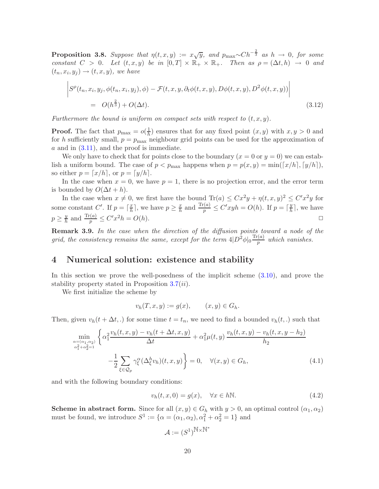**Proposition 3.8.** Suppose that  $\eta(t,x,y) := x\sqrt{y}$ , and  $p_{\max} \sim Ch^{-\frac{2}{3}}$  as  $h \to 0$ , for some constant  $C > 0$ . Let  $(t, x, y)$  be in  $[0, T] \times \mathbb{R}_+ \times \mathbb{R}_+$ . Then as  $\rho = (\Delta t, h) \rightarrow 0$  and  $(t_n, x_i, y_j) \rightarrow (t, x, y)$ , we have

$$
\left| S^{\rho}(t_n, x_i, y_j, \phi(t_n, x_i, y_j), \phi) - \mathcal{F}(t, x, y, \partial_t \phi(t, x, y), D\phi(t, x, y), D^2\phi(t, x, y)) \right|
$$
  
=  $O(h^{\frac{2}{3}}) + O(\Delta t).$  (3.12)

Furthermore the bound is uniform on compact sets with respect to  $(t, x, y)$ .

**Proof.** The fact that  $p_{\text{max}} = o(\frac{1}{h})$  $\frac{1}{h}$ ) ensures that for any fixed point  $(x, y)$  with  $x, y > 0$  and for h sufficiently small,  $p = p_{\text{max}}$  neighbour grid points can be used for the approximation of  $a$  and in  $(3.11)$ , and the proof is immediate.

We only have to check that for points close to the boundary  $(x = 0 \text{ or } y = 0)$  we can establish a uniform bound. The case of  $p < p_{\text{max}}$  happens when  $p = p(x, y) = \min([x/h], [y/h]),$ so either  $p = \lfloor x/h \rfloor$ , or  $p = \lfloor y/h \rfloor$ .

In the case when  $x = 0$ , we have  $p = 1$ , there is no projection error, and the error term is bounded by  $O(\Delta t + h)$ .

In the case when  $x \neq 0$ , we first have the bound  $\text{Tr}(a) \leq C x^2 y + \eta(t, x, y)^2 \leq C' x^2 y$  for some constant  $C'$ . If  $p = \lceil \frac{x}{h} \rceil$  $\frac{x}{h}$ , we have  $p \geq \frac{x}{h}$  $\frac{x}{h}$  and  $\frac{\text{Tr}(a)}{p} \le C'xyh = O(h)$ . If  $p = \lceil \frac{y}{h} \rceil$  $\frac{y}{h}$ , we have  $p \geq \frac{y}{h}$  $\frac{y}{h}$  and  $\frac{\text{Tr}(a)}{p} \le C'x^2h = O(h)$ .

**Remark 3.9.** In the case when the direction of the diffusion points toward a node of the grid, the consistency remains the same, except for the term  $4|D^2\phi|_0 \frac{\text{Tr}(a)}{p}$  $\frac{p}{p}$  which vanishes.

### <span id="page-19-0"></span>4 Numerical solution: existence and stability

In this section we prove the well-posedness of the implicit scheme [\(3.10\)](#page-17-2), and prove the stability property stated in Proposition  $3.7(ii)$  $3.7(ii)$ .

We first initialize the scheme by

$$
v_h(T, x, y) := g(x), \qquad (x, y) \in G_h.
$$

Then, given  $v_h(t + \Delta t,.)$  for some time  $t = t_n$ , we need to find a bounded  $v_h(t,.)$  such that

$$
\min_{\substack{\alpha = (\alpha_1, \alpha_2) \\ \alpha_1^2 + \alpha_2^2 = 1}} \left\{ \alpha_1^2 \frac{v_h(t, x, y) - v_h(t + \Delta t, x, y)}{\Delta t} + \alpha_1^2 \mu(t, y) \frac{v_h(t, x, y) - v_h(t, x, y - h_2)}{h_2} \right\}
$$
\n
$$
- \frac{1}{2} \sum_{\xi \in \mathcal{Q}_p} \gamma_\xi^\alpha (\Delta_\xi^h v_h)(t, x, y) \right\} = 0, \quad \forall (x, y) \in G_h,
$$
\n(4.1)

and with the following boundary conditions:

$$
v_h(t, x, 0) = g(x), \quad \forall x \in h\mathbb{N}.
$$
\n(4.2)

**Scheme in abstract form.** Since for all  $(x, y) \in G_h$  with  $y > 0$ , an optimal control  $(\alpha_1, \alpha_2)$ must be found, we introduce  $S^1 := {\alpha = (\alpha_1, \alpha_2), \alpha_1^2 + \alpha_2^2 = 1}$  and

$$
\mathcal{A}:=(S^1)^{\widetilde{N}\times\widetilde{N}^*}
$$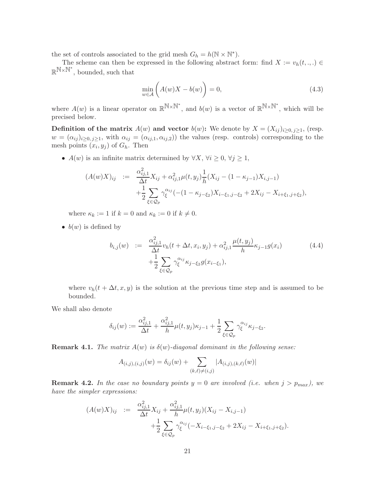the set of controls associated to the grid mesh  $G_h = h(\mathbb{N} \times \mathbb{N}^*)$ .

The scheme can then be expressed in the following abstract form: find  $X := v_h(t, \ldots) \in$  $\mathbb{R}^{\mathbb{N}\times\mathbb{N}^*}$ , bounded, such that

<span id="page-20-0"></span>
$$
\min_{w \in \mathcal{A}} \left( A(w)X - b(w) \right) = 0,\tag{4.3}
$$

where  $A(w)$  is a linear operator on  $\mathbb{R}^{\mathbb{N}\times\mathbb{N}^*}$ , and  $b(w)$  is a vector of  $\mathbb{R}^{\mathbb{N}\times\mathbb{N}^*}$ , which will be precised below.

**Definition of the matrix**  $A(w)$  and vector  $b(w)$ : We denote by  $X = (X_{ij})_{i \geq 0, j \geq 1}$ , (resp.  $w = (\alpha_{ij})_{i \geq 0, j \geq 1}$ , with  $\alpha_{ij} = (\alpha_{ij,1}, \alpha_{ij,2})$  the values (resp. controls) corresponding to the mesh points  $(x_i, y_j)$  of  $G_h$ . Then

•  $A(w)$  is an infinite matrix determined by  $\forall X, \forall i \geq 0, \forall j \geq 1$ ,

$$
(A(w)X)_{ij} := \frac{\alpha_{ij,1}^2}{\Delta t} X_{ij} + \alpha_{ij,1}^2 \mu(t, y_j) \frac{1}{h} (X_{ij} - (1 - \kappa_{j-1}) X_{i,j-1}) + \frac{1}{2} \sum_{\xi \in \mathcal{Q}_p} \gamma_{\xi}^{\alpha_{ij}} (-(1 - \kappa_{j-\xi_2}) X_{i-\xi_1,j-\xi_2} + 2 X_{ij} - X_{i+\xi_1,j+\xi_2}),
$$

where  $\kappa_k := 1$  if  $k = 0$  and  $\kappa_k := 0$  if  $k \neq 0$ .

<span id="page-20-1"></span>•  $b(w)$  is defined by

$$
b_{i,j}(w) := \frac{\alpha_{ij,1}^2}{\Delta t} v_h(t + \Delta t, x_i, y_j) + \alpha_{ij,1}^2 \frac{\mu(t, y_j)}{h} \kappa_{j-1} g(x_i)
$$
  
 
$$
+ \frac{1}{2} \sum_{\xi \in \mathcal{Q}_p} \gamma_{\xi}^{\alpha_{ij}} \kappa_{j-\xi_2} g(x_{i-\xi_1}),
$$
 (4.4)

where  $v_h(t + \Delta t, x, y)$  is the solution at the previous time step and is assumed to be bounded.

We shall also denote

$$
\delta_{ij}(w) := \frac{\alpha_{ij,1}^2}{\Delta t} + \frac{\alpha_{ij,1}^2}{h} \mu(t, y_j) \kappa_{j-1} + \frac{1}{2} \sum_{\xi \in \mathcal{Q}_p} \gamma_{\xi}^{\alpha_{ij}} \kappa_{j-\xi_2}.
$$

**Remark 4.1.** The matrix  $A(w)$  is  $\delta(w)$ -diagonal dominant in the following sense:

$$
A_{(i,j),(i,j)}(w) = \delta_{ij}(w) + \sum_{(k,\ell)\neq(i,j)} |A_{(i,j),(k,\ell)}(w)|
$$

**Remark 4.2.** In the case no boundary points  $y = 0$  are involved (i.e. when  $j > p_{max}$ ), we have the simpler expressions:

$$
(A(w)X)_{ij} := \frac{\alpha_{ij,1}^2}{\Delta t} X_{ij} + \frac{\alpha_{ij,1}^2}{h} \mu(t, y_j) (X_{ij} - X_{i,j-1}) + \frac{1}{2} \sum_{\xi \in \mathcal{Q}_p} \gamma_{\xi}^{\alpha_{ij}} (-X_{i-\xi_1,j-\xi_2} + 2X_{ij} - X_{i+\xi_1,j+\xi_2}).
$$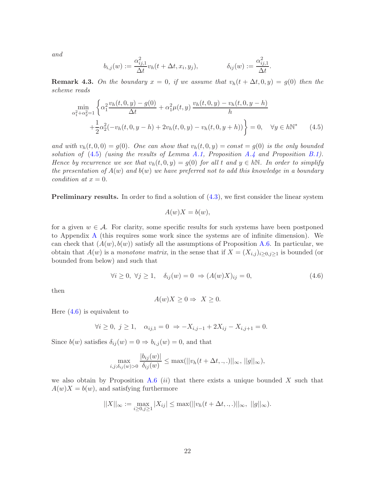and

$$
b_{i,j}(w) := \frac{\alpha_{ij,1}^2}{\Delta t} v_h(t + \Delta t, x_i, y_j), \qquad \qquad \delta_{ij}(w) := \frac{\alpha_{ij,1}^2}{\Delta t}.
$$

<span id="page-21-0"></span>**Remark 4.3.** On the boundary  $x = 0$ , if we assume that  $v_h(t + \Delta t, 0, y) = g(0)$  then the scheme reads

$$
\min_{\alpha_1^2 + \alpha_2^2 = 1} \left\{ \alpha_1^2 \frac{v_h(t, 0, y) - g(0)}{\Delta t} + \alpha_1^2 \mu(t, y) \frac{v_h(t, 0, y) - v_h(t, 0, y - h)}{h} + \frac{1}{2} \alpha_2^2 (-v_h(t, 0, y - h) + 2v_h(t, 0, y) - v_h(t, 0, y + h)) \right\} = 0, \quad \forall y \in h \mathbb{N}^* \tag{4.5}
$$

and with  $v_h(t, 0, 0) = g(0)$ . One can show that  $v_h(t, 0, y) = const = g(0)$  is the only bounded solution of  $(4.5)$  (using the results of Lemma [A.1,](#page-28-0) Proposition [A.4](#page-29-0) and Proposition [B.1\)](#page-31-0). Hence by recurrence we see that  $v_h(t, 0, y) = g(0)$  for all t and  $y \in h\mathbb{N}$ . In order to simplify the presentation of  $A(w)$  and  $b(w)$  we have preferred not to add this knowledge in a boundary condition at  $x = 0$ .

Preliminary results. In order to find a solution of [\(4.3\)](#page-20-0), we first consider the linear system

$$
A(w)X = b(w),
$$

for a given  $w \in \mathcal{A}$ . For clarity, some specific results for such systems have been postponed to Appendix [A](#page-28-1) (this requires some work since the systems are of infinite dimension). We can check that  $(A(w), b(w))$  satisfy all the assumptions of Proposition [A.6.](#page-30-0) In particular, we obtain that  $A(w)$  is a monotone matrix, in the sense that if  $X = (X_{i,j})_{i \geq 0, j \geq 1}$  is bounded (or bounded from below) and such that

$$
\forall i \ge 0, \ \forall j \ge 1, \quad \delta_{ij}(w) = 0 \ \Rightarrow (A(w)X)_{ij} = 0,\tag{4.6}
$$

<span id="page-21-1"></span>then

$$
A(w)X \ge 0 \Rightarrow X \ge 0.
$$

Here [\(4.6\)](#page-21-1) is equivalent to

$$
\forall i \geq 0, \ j \geq 1, \quad \alpha_{ij,1} = 0 \ \Rightarrow -X_{i,j-1} + 2X_{ij} - X_{i,j+1} = 0.
$$

Since  $b(w)$  satisfies  $\delta_{ij}(w) = 0 \Rightarrow b_{i,j}(w) = 0$ , and that

$$
\max_{i,j;\delta_{ij}(w)>0} \frac{|b_{ij}(w)|}{\delta_{ij}(w)} \le \max(||v_h(t+\Delta t,.,.)||_{\infty}, ||g||_{\infty}),
$$

we also obtain by Proposition [A.6](#page-30-0) (ii) that there exists a unique bounded X such that  $A(w)X = b(w)$ , and satisfying furthermore

$$
||X||_{\infty} := \max_{i \geq 0, j \geq 1} |X_{ij}| \leq \max(||v_h(t + \Delta t, \dots)||_{\infty}, ||g||_{\infty}).
$$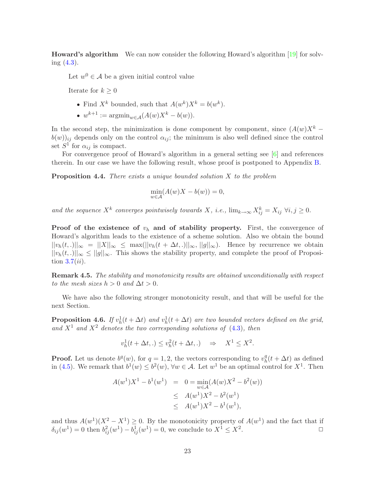Howard's algorithm We can now consider the following Howard's algorithm [\[19\]](#page-33-13) for solving  $(4.3)$ .

Let  $w^0 \in \mathcal{A}$  be a given initial control value

Iterate for  $k \geq 0$ 

- Find  $X^k$  bounded, such that  $A(w^k)X^k = b(w^k)$ .
- $w^{k+1} := \operatorname{argmin}_{w \in \mathcal{A}} (A(w)X^k b(w)).$

In the second step, the minimization is done component by component, since  $(A(w)X^k$  $b(w)_{ij}$  depends only on the control  $\alpha_{ij}$ ; the minimum is also well defined since the control set  $S^1$  for  $\alpha_{ij}$  is compact.

<span id="page-22-1"></span>For convergence proof of Howard's algorithm in a general setting see [\[6\]](#page-33-7) and references therein. In our case we have the following result, whose proof is postponed to Appendix [B.](#page-31-1)

**Proposition 4.4.** There exists a unique bounded solution  $X$  to the problem

$$
\min_{w \in \mathcal{A}} (A(w)X - b(w)) = 0,
$$

and the sequence  $X^k$  converges pointwisely towards X, i.e.,  $\lim_{k\to\infty} X^k_{ij} = X_{ij}$   $\forall i, j \geq 0$ .

**Proof of the existence of**  $v_h$  **and of stability property.** First, the convergence of Howard's algorithm leads to the existence of a scheme solution. Also we obtain the bound  $||v_h(t,.)||_{\infty} = ||X||_{\infty} \leq \max(||v_h(t + \Delta t,.)||_{\infty}, ||g||_{\infty}).$  Hence by recurrence we obtain  $||v_h(t,.)||_{\infty} \le ||g||_{\infty}$ . This shows the stability property, and complete the proof of Proposition  $3.7(ii)$  $3.7(ii)$ .

Remark 4.5. The stability and monotonicity results are obtained unconditionally with respect to the mesh sizes  $h > 0$  and  $\Delta t > 0$ .

<span id="page-22-0"></span>We have also the following stronger monotonicity result, and that will be useful for the next Section.

**Proposition 4.6.** If  $v_h^1(t + \Delta t)$  and  $v_h^1(t + \Delta t)$  are two bounded vectors defined on the grid, and  $X^1$  and  $X^2$  denotes the two corresponding solutions of [\(4.3\)](#page-20-0), then

$$
v_h^1(t + \Delta t,.) \le v_h^2(t + \Delta t,.) \quad \Rightarrow \quad X^1 \le X^2.
$$

**Proof.** Let us denote  $b^q(w)$ , for  $q = 1, 2$ , the vectors corresponding to  $v^q_b$  $h_t^q(t + \Delta t)$  as defined in [\(4.5\)](#page-20-1). We remark that  $b^1(w) \leq b^2(w)$ ,  $\forall w \in \mathcal{A}$ . Let  $w^1$  be an optimal control for  $X^1$ . Then

$$
A(w^{1})X^{1} - b^{1}(w^{1}) = 0 = \min_{w \in \mathcal{A}} (A(w)X^{2} - b^{2}(w))
$$
  
\n
$$
\leq A(w^{1})X^{2} - b^{2}(w^{1})
$$
  
\n
$$
\leq A(w^{1})X^{2} - b^{1}(w^{1}),
$$

and thus  $A(w^1)(X^2 - X^1) \geq 0$ . By the monotonicity property of  $A(w^1)$  and the fact that if  $\delta_{ij}(w^1) = 0$  then  $b_{ij}^2(w^1) - b_{ij}^1(w^1) = 0$ , we conclude to  $X^1 \le X^2$ .  $\Box$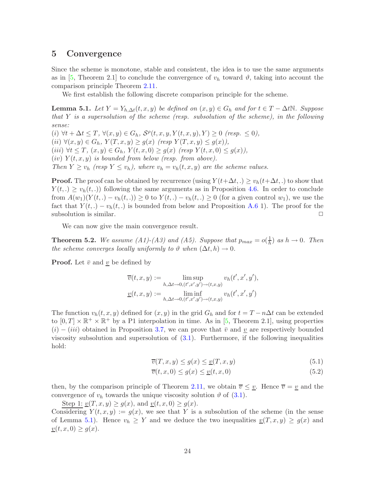### <span id="page-23-0"></span>5 Convergence

Since the scheme is monotone, stable and consistent, the idea is to use the same arguments as in [\[5,](#page-33-8) Theorem 2.1] to conclude the convergence of  $v<sub>h</sub>$  toward  $\vartheta$ , taking into account the comparison principle Theorem [2.11.](#page-8-5)

We first establish the following discrete comparison principle for the scheme.

<span id="page-23-1"></span>**Lemma 5.1.** Let  $Y = Y_{h,\Delta t}(t,x,y)$  be defined on  $(x,y) \in G_h$  and for  $t \in T - \Delta t \mathbb{N}$ . Suppose that Y is a supersolution of the scheme (resp. subsolution of the scheme), in the following sense:

 $(i) \forall t + \Delta t \leq T, \forall (x, y) \in G_h, S^{\rho}(t, x, y, Y(t, x, y), Y) \geq 0 \text{ (resp. } \leq 0),$ (ii)  $\forall (x, y) \in G_h$ ,  $Y(T, x, y) \ge g(x)$  (resp  $Y(T, x, y) \le g(x)$ ), (iii)  $\forall t \leq T, (x, y) \in G_h$ ,  $Y(t, x, 0) \geq g(x)$  (resp  $Y(t, x, 0) \leq g(x)$ ),  $(iv)$   $Y(t, x, y)$  is bounded from below (resp. from above). Then  $Y \ge v_h$  (resp  $Y \le v_h$ ), where  $v_h = v_h(t, x, y)$  are the scheme values.

**Proof.** The proof can be obtained by recurrence (using  $Y(t+\Delta t,.) \geq v_h(t+\Delta t,.)$  to show that  $Y(t,.) \geq v_h(t,.)$  following the same arguments as in Proposition [4.6.](#page-22-0) In order to conclude from  $A(w_1)(Y(t,.) - v_h(t,.)) \geq 0$  to  $Y(t,.) - v_h(t,.) \geq 0$  (for a given control  $w_1$ ), we use the fact that  $Y(t,.) - v_h(t,.)$  is bounded from below and Proposition [A.6](#page-30-0) 1). The proof for the subsolution is similar. subsolution is similar.

We can now give the main convergence result.

**Theorem 5.2.** We assume (A1)-(A3) and (A5). Suppose that  $p_{max} = o(\frac{1}{h})$  $\frac{1}{h}$  as  $h \to 0$ . Then the scheme converges locally uniformly to  $\vartheta$  when  $(\Delta t, h) \to 0$ .

**Proof.** Let  $\bar{v}$  and v be defined by

$$
\overline{v}(t, x, y) := \limsup_{h, \Delta t \to 0, (t', x', y') \to (t, x, y)} v_h(t', x', y'),
$$
  

$$
\underline{v}(t, x, y) := \liminf_{h, \Delta t \to 0, (t', x', y') \to (t, x, y)} v_h(t', x', y')
$$

The function  $v_h(t, x, y)$  defined for  $(x, y)$  in the grid  $G_h$  and for  $t = T - n\Delta t$  can be extended to  $[0, T] \times \mathbb{R}^+ \times \mathbb{R}^+$  by a P1 interpolation in time. As in [\[5,](#page-33-8) Theorem 2.1], using properties  $(i) - (iii)$  obtained in Proposition [3.7,](#page-18-4) we can prove that  $\bar{v}$  and v are respectively bounded viscosity subsolution and supersolution of [\(3.1\)](#page-12-1). Furthermore, if the following inequalities hold:

$$
\overline{v}(T, x, y) \le g(x) \le \underline{v}(T, x, y) \tag{5.1}
$$

$$
\overline{v}(t, x, 0) \le g(x) \le \underline{v}(t, x, 0) \tag{5.2}
$$

then, by the comparison principle of Theorem [2.11,](#page-8-5) we obtain  $\overline{v} \leq \underline{v}$ . Hence  $\overline{v} = \underline{v}$  and the convergence of  $v_h$  towards the unique viscosity solution  $\vartheta$  of [\(3.1\)](#page-12-1).

Step 1:  $\underline{v}(T, x, y) \ge g(x)$ , and  $\underline{v}(t, x, 0) \ge g(x)$ . Considering  $Y(t, x, y) := g(x)$ , we see that Y is a subsolution of the scheme (in the sense of Lemma [5.1\)](#page-23-1). Hence  $v_h \geq Y$  and we deduce the two inequalities  $\underline{v}(T, x, y) \geq g(x)$  and  $\underline{v}(t, x, 0) \ge g(x).$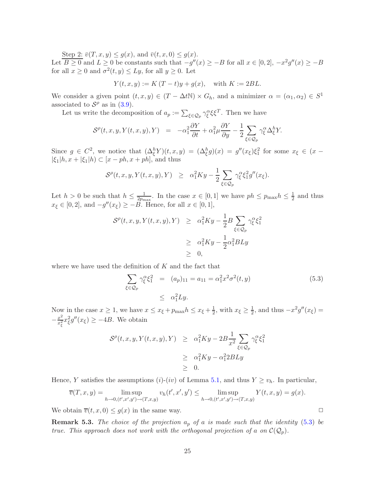Step 2:  $\overline{v}(T, x, y) \le g(x)$ , and  $\overline{v}(t, x, 0) \le g(x)$ . Let  $\overline{B \ge 0}$  and  $L \ge 0$  be constants such that  $-g''(x) \ge -B$  for all  $x \in [0,2], -x^2g''(x) \ge -B$ for all  $x \ge 0$  and  $\sigma^2(t, y) \le Ly$ , for all  $y \ge 0$ . Let

$$
Y(t, x, y) := K(T - t)y + g(x)
$$
, with  $K := 2BL$ .

We consider a given point  $(t, x, y) \in (T - \Delta t \mathbb{N}) \times G_h$ , and a minimizer  $\alpha = (\alpha_1, \alpha_2) \in S^1$ associated to  $S^{\rho}$  as in [\(3.9\)](#page-17-1).

Let us write the decomposition of  $a_p := \sum_{\xi \in \mathcal{Q}_p} \gamma_{\xi}^{\alpha} \xi \xi^T$ . Then we have

$$
\mathcal{S}^{\rho}(t,x,y,Y(t,x,y),Y) = -\alpha_1^2 \frac{\partial Y}{\partial t} + \alpha_1^2 \mu \frac{\partial Y}{\partial y} - \frac{1}{2} \sum_{\xi \in \mathcal{Q}_p} \gamma_{\xi}^{\alpha} \Delta_{\xi}^{h} Y.
$$

Since  $g \in C^2$ , we notice that  $(\Delta_{\xi}^h Y)(t, x, y) = (\Delta_{\xi}^h g)(x) = g''(x_{\xi})\xi_1^2$  for some  $x_{\xi} \in (x - \xi_1)^2$  $|\xi_1|h, x + |\xi_1|h) \subset [x - ph, x + ph]$ , and thus

$$
\mathcal{S}^{\rho}(t,x,y,Y(t,x,y),Y) \geq \alpha_1^2 Ky - \frac{1}{2} \sum_{\xi \in \mathcal{Q}_p} \gamma_{\xi}^{\alpha} \xi_1^2 g''(x_{\xi}).
$$

Let  $h > 0$  be such that  $h \leq \frac{1}{2p_{\text{tr}}}$  $\frac{1}{2p_{\text{max}}}$ . In the case  $x \in [0,1]$  we have  $ph \leq p_{\text{max}}h \leq \frac{1}{2}$  $\frac{1}{2}$  and thus  $x_{\xi} \in [0,2]$ , and  $-g''(x_{\xi}) \geq -B$ . Hence, for all  $x \in [0,1]$ ,

$$
\begin{array}{rcl}\n\mathcal{S}^{\rho}(t,x,y,Y(t,x,y),Y) & \geq & \alpha_1^2 K y - \frac{1}{2} B \sum_{\xi \in \mathcal{Q}_p} \gamma_{\xi}^{\alpha} \xi_1^2 \\
& \geq & \alpha_1^2 K y - \frac{1}{2} \alpha_1^2 B L y \\
& \geq & 0,\n\end{array}
$$

<span id="page-24-0"></span>where we have used the definition of  $K$  and the fact that

$$
\sum_{\xi \in \mathcal{Q}_p} \gamma_{\xi}^{\alpha} \xi_1^2 = (a_p)_{11} = a_{11} = \alpha_1^2 x^2 \sigma^2(t, y)
$$
\n
$$
\leq \alpha_1^2 L y.
$$
\n(5.3)

Now in the case  $x \geq 1$ , we have  $x \leq x_{\xi} + p_{\max} h \leq x_{\xi} + \frac{1}{2}$  $\frac{1}{2}$ , with  $x_{\xi} \geq \frac{1}{2}$  $\frac{1}{2}$ , and thus  $-x^2g''(x_{\xi}) =$  $-\frac{x^2}{x_c^2}$  $\frac{x^2}{x_{\xi}^2}x_{\xi}^2 g''(x_{\xi}) \geq -4B$ . We obtain

$$
\begin{array}{rcl} \mathcal{S}^{\rho}(t,x,y,Y(t,x,y),Y) & \geq & \alpha_1^2 K y - 2B \frac{1}{x^2} \sum_{\xi \in \mathcal{Q}_p} \gamma_{\xi}^{\alpha} \xi_1^2 \\ & \geq & \alpha_1^2 K y - \alpha_1^2 2BLy \\ & \geq & 0. \end{array}
$$

Hence, Y satisfies the assumptions (i)-(iv) of Lemma [5.1,](#page-23-1) and thus  $Y \ge v_h$ . In particular,

$$
\overline{v}(T, x, y) = \limsup_{h \to 0, (t', x', y') \to (T, x, y)} v_h(t', x', y') \le \limsup_{h \to 0, (t', x', y') \to (T, x, y)} Y(t, x, y) = g(x).
$$

We obtain  $\overline{v}(t, x, 0) \leq g(x)$  in the same way.

**Remark 5.3.** The choice of the projection  $a_p$  of a is made such that the identity [\(5.3\)](#page-24-0) be true. This approach does not work with the orthogonal projection of a on  $\mathcal{C}(\mathcal{Q}_p)$ .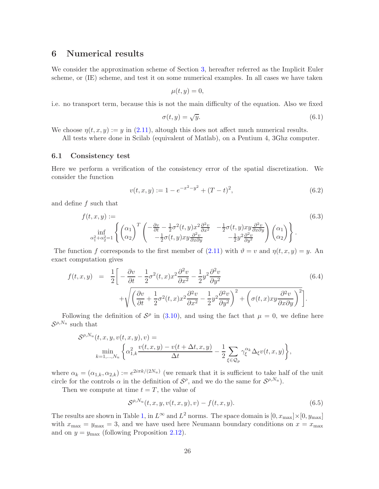# 6 Numerical results

We consider the approximation scheme of Section [3,](#page-12-3) hereafter referred as the Implicit Euler scheme, or (IE) scheme, and test it on some numerical examples. In all cases we have taken

$$
\mu(t,y)=0,
$$

i.e. no transport term, because this is not the main difficulty of the equation. Also we fixed

$$
\sigma(t, y) = \sqrt{y}.\tag{6.1}
$$

We choose  $\eta(t, x, y) := y$  in [\(2.11\)](#page-7-1), altough this does not affect much numerical results.

All tests where done in Scilab (equivalent of Matlab), on a Pentium 4, 3Ghz computer.

#### 6.1 Consistency test

Here we perform a verification of the consistency error of the spatial discretization. We consider the function

$$
v(t, x, y) := 1 - e^{-x^2 - y^2} + (T - t)^2,
$$
\n(6.2)

and define  $f$  such that

 $\mathbf{v}$ 

<span id="page-25-1"></span>
$$
f(t, x, y) := \begin{pmatrix} \sin \frac{\theta}{2} & -\frac{1}{2}\sigma^2(t, y)x^2 \frac{\partial^2 v}{\partial x^2} & -\frac{1}{2}\sigma(t, y)xy \frac{\partial^2 v}{\partial x \partial y} \\ \frac{\partial^2}{\partial t^2} & -\frac{1}{2}\sigma(t, y)xy \frac{\partial^2 v}{\partial x \partial y} & -\frac{1}{2}y^2 \frac{\partial^2 v}{\partial y^2} \end{pmatrix} \begin{pmatrix} \alpha_1 \\ \alpha_2 \end{pmatrix} \end{pmatrix} . \tag{6.3}
$$

<span id="page-25-0"></span>The function f corresponds to the first member of  $(2.11)$  with  $\vartheta = v$  and  $\eta(t, x, y) = y$ . An exact computation gives

$$
f(t, x, y) = \frac{1}{2} \left[ -\frac{\partial v}{\partial t} - \frac{1}{2} \sigma^2(t, x) x^2 \frac{\partial^2 v}{\partial x^2} - \frac{1}{2} y^2 \frac{\partial^2 v}{\partial y^2} + \sqrt{\left(\frac{\partial v}{\partial t} + \frac{1}{2} \sigma^2(t, x) x^2 \frac{\partial^2 v}{\partial x^2} - \frac{1}{2} y^2 \frac{\partial^2 v}{\partial y^2}\right)^2 + \left(\sigma(t, x) x y \frac{\partial^2 v}{\partial x \partial y}\right)^2} \right].
$$
\n(6.4)

Following the definition of  $S^{\rho}$  in [\(3.10\)](#page-17-2), and using the fact that  $\mu = 0$ , we define here  $\mathcal{S}^{\rho, N_u}$  such that

$$
\mathcal{S}^{\rho, N_u}(t, x, y, v(t, x, y), v) =
$$
  
\n
$$
\min_{k=1,\dots,N_u} \left\{ \alpha_{1,k}^2 \frac{v(t, x, y) - v(t + \Delta t, x, y)}{\Delta t} - \frac{1}{2} \sum_{\xi \in \mathcal{Q}_p} \gamma_{\xi}^{\alpha_k} \Delta_{\xi} v(t, x, y) \right\},
$$

where  $\alpha_k = (\alpha_{1,k}, \alpha_{2,k}) := e^{2i\pi k/(2N_u)}$  (we remark that it is sufficient to take half of the unit circle for the controls  $\alpha$  in the definition of  $S^{\rho}$ , and we do the same for  $S^{\rho, N_u}$ .

Then we compute at time  $t = T$ , the value of

$$
S^{\rho, N_u}(t, x, y, v(t, x, y), v) - f(t, x, y).
$$
\n(6.5)

The results are shown in Table [1,](#page-26-0) in  $L^{\infty}$  and  $L^{2}$  norms. The space domain is  $[0, x_{\text{max}}] \times [0, y_{\text{max}}]$ with  $x_{\text{max}} = y_{\text{max}} = 3$ , and we have used here Neumann boundary conditions on  $x = x_{\text{max}}$ and on  $y = y_{\text{max}}$  (following Proposition [2.12\)](#page-9-0).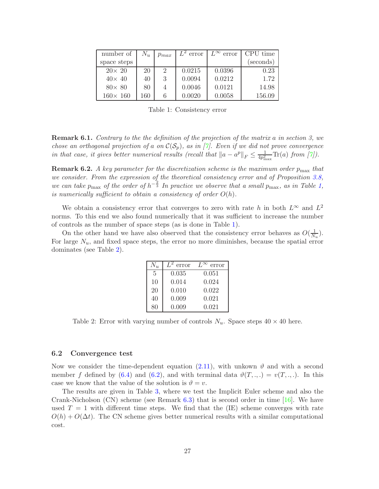| number of        | $N_u$ | $p_{max}$      | $\overline{L}^2$ error | $L^{\infty}$ error | CPU time  |
|------------------|-------|----------------|------------------------|--------------------|-----------|
| space steps      |       |                |                        |                    | (seconds) |
| $20\times 20$    | 20    | $\overline{2}$ | 0.0215                 | 0.0396             | 0.23      |
| $40\times 40$    | 40    | 3              | 0.0094                 | 0.0212             | 1.72      |
| $80\times 80$    | 80    | 4              | 0.0046                 | 0.0121             | 14.98     |
| $160 \times 160$ | 160   | 6              | 0.0020                 | 0.0058             | 156.09    |

<span id="page-26-0"></span>Table 1: Consistency error

**Remark 6.1.** Contrary to the the definition of the projection of the matrix a in section 3, we chose an orthogonal projection of a on  $\mathcal{C}(\mathcal{S}_p)$ , as in  $|\gamma|$ . Even if we did not prove convergence in that case, it gives better numerical results (recall that  $||a - a^p||_F \le \frac{1}{4p_{\text{max}}^2} \text{Tr}(a)$  from [\[7\]](#page-33-6)).

**Remark 6.2.** A key parameter for the discretization scheme is the maximum order  $p_{\text{max}}$  that we consider. From the expression of the theoretical consistency error and of Proposition [3.8,](#page-18-0) we can take  $p_{\text{max}}$  of the order of  $h^{-\frac{2}{3}}$  In practice we observe that a small  $p_{\text{max}}$ , as in Table [1,](#page-26-0) is numerically sufficient to obtain a consistency of order  $O(h)$ .

We obtain a consistency error that converges to zero with rate h in both  $L^{\infty}$  and  $L^{2}$ norms. To this end we also found numerically that it was sufficient to increase the number of controls as the number of space steps (as is done in Table [1\)](#page-26-0).

On the other hand we have also observed that the consistency error behaves as  $O(\frac{1}{N})$  $\frac{1}{N_u}$ . For large  $N_u$ , and fixed space steps, the error no more diminishes, because the spatial error dominates (see Table [2\)](#page-26-1).

| $N_{\mathcal{H}}$ | error | error |
|-------------------|-------|-------|
| $\overline{5}$    | 0.035 | 0.051 |
| 10                | 0.014 | 0.024 |
| 20                | 0.010 | 0.022 |
| 40                | 0.009 | 0.021 |
| 80                | 0.009 | 0.021 |

<span id="page-26-1"></span>Table 2: Error with varying number of controls  $N_u$ . Space steps  $40 \times 40$  here.

#### 6.2 Convergence test

Now we consider the time-dependent equation [\(2.11\)](#page-7-1), with unkown  $\vartheta$  and with a second member f defined by [\(6.4\)](#page-25-0) and [\(6.2\)](#page-25-1), and with terminal data  $\vartheta(T, \ldots) = v(T, \ldots)$ . In this case we know that the value of the solution is  $\vartheta = v$ .

The results are given in Table [3,](#page-27-0) where we test the Implicit Euler scheme and also the Crank-Nicholson (CN) scheme (see Remark [6.3\)](#page-27-1) that is second order in time [\[16\]](#page-33-14). We have used  $T = 1$  with different time steps. We find that the (IE) scheme converges with rate  $O(h) + O(\Delta t)$ . The CN scheme gives better numerical results with a similar computational cost.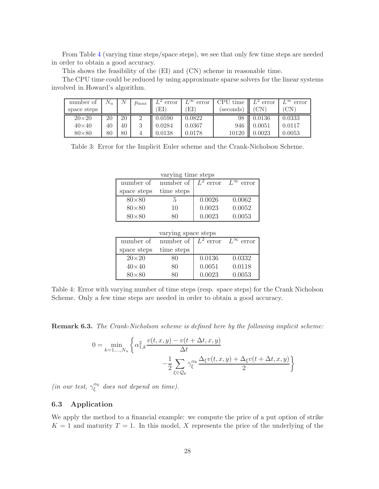From Table [4](#page-27-2) (varying time steps/space steps), we see that only few time steps are needed in order to obtain a good accuracy.

This shows the feasibility of the (EI) and (CN) scheme in reasonable time.

The CPU time could be reduced by using approximate sparse solvers for the linear systems involved in Howard's algorithm.

| number of     | $V_{u}$ | /V | $p_{\max}$ | error  | $L^{\infty}$ error | CPU time | $L^2$ error  | $\sim$ error |
|---------------|---------|----|------------|--------|--------------------|----------|--------------|--------------|
| space steps   |         |    |            | ΕI     | ΕI                 | seconds) | CΝ           | <b>CN</b>    |
| $20\times 20$ | 20      | 20 |            | 0.0590 | 0.0822             | 98       | 0.0136       | 0.0333       |
| $40\times40$  | 40      | 40 |            | 0.0284 | 0.0367             | 946      | 0.0051       | 0.0117       |
| $80\times80$  | 80      | 80 |            | 0.0138 | $\,0.0178\,$       |          | $\,0.0023\,$ | 0.0053       |

<span id="page-27-0"></span>Table 3: Error for the Implicit Euler scheme and the Crank-Nicholson Scheme.

| varying time steps |            |             |                    |  |  |  |
|--------------------|------------|-------------|--------------------|--|--|--|
| number of          | number of  | $L^2$ error | $L^{\infty}$ error |  |  |  |
| space steps        | time steps |             |                    |  |  |  |
| $80\times80$       | h,         | 0.0026      | 0.0062             |  |  |  |
| $80\times80$       | 10         | 0.0023      | 0.0052             |  |  |  |
| $80\times80$       | ח          | 0.0023      | 0.0053             |  |  |  |

varying time steps

| varying space steps |            |             |                       |  |  |  |
|---------------------|------------|-------------|-----------------------|--|--|--|
| number of           | number of  | $L^2$ error | $L^{\infty}$<br>error |  |  |  |
| space steps         | time steps |             |                       |  |  |  |
| $20\times 20$       | 80         | 0.0136      | 0.0332                |  |  |  |
| $40\times40$        | 80         | 0.0051      | 0.0118                |  |  |  |
| $80\times80$        | ×۱۱        | 0.0023      | 0.0053                |  |  |  |

<span id="page-27-2"></span>Table 4: Error with varying number of time steps (resp. space steps) for the Crank Nicholson Scheme. Only a few time steps are needed in order to obtain a good accuracy.

<span id="page-27-1"></span>Remark 6.3. The Crank-Nicholson scheme is defined here by the following implicit scheme:

$$
0 = \min_{k=1,\dots,N_u} \left\{ \alpha_{1,k}^2 \frac{v(t,x,y) - v(t + \Delta t, x, y)}{\Delta t} - \frac{1}{2} \sum_{\xi \in \mathcal{Q}_p} \gamma_{\xi}^{\alpha_k} \frac{\Delta_{\xi} v(t,x,y) + \Delta_{\xi} v(t + \Delta t, x, y)}{2} \right\}
$$

(in our test,  $\gamma_{\xi}^{\alpha_k}$  does not depend on time).

### 6.3 Application

We apply the method to a financial example: we compute the price of a put option of strike  $K = 1$  and maturity  $T = 1$ . In this model, X represents the price of the underlying of the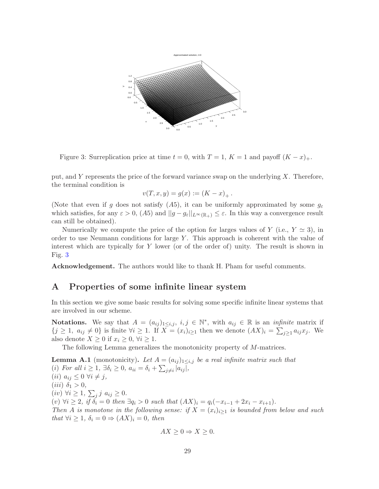

<span id="page-28-2"></span>Figure 3: Surreplication price at time  $t = 0$ , with  $T = 1$ ,  $K = 1$  and payoff  $(K - x)_{+}$ .

put, and  $Y$  represents the price of the forward variance swap on the underlying  $X$ . Therefore, the terminal condition is

$$
v(T, x, y) = g(x) := (K - x)_{+}.
$$

(Note that even if g does not satisfy  $(A5)$ , it can be uniformly approximated by some  $g_{\varepsilon}$ which satisfies, for any  $\varepsilon > 0$ ,  $(A5)$  and  $||g - g_{\varepsilon}||_{L^{\infty}(\mathbb{R}_+)} \leq \varepsilon$ . In this way a convergence result can still be obtained).

Numerically we compute the price of the option for larges values of Y (i.e.,  $Y \simeq 3$ ), in order to use Neumann conditions for large  $Y$ . This approach is coherent with the value of interest which are typically for Y lower (or of the order of) unity. The result is shown in Fig. [3](#page-28-2)

<span id="page-28-1"></span>Acknowledgement. The authors would like to thank H. Pham for useful comments.

### A Properties of some infinite linear system

In this section we give some basic results for solving some specific infinite linear systems that are involved in our scheme.

Notations. We say that  $A = (a_{ij})_{1 \leq i,j}, i, j \in \mathbb{N}^*$ , with  $a_{ij} \in \mathbb{R}$  is an *infinite* matrix if  $\{j \geq 1, a_{ij} \neq 0\}$  is finite  $\forall i \geq 1$ . If  $X = (x_i)_{i \geq 1}$  then we denote  $(AX)_i = \sum_{j \geq 1} a_{ij} x_j$ . We also denote  $X \geq 0$  if  $x_i \geq 0, \forall i \geq 1$ .

The following Lemma generalizes the monotonicity property of M-matrices.

<span id="page-28-0"></span>**Lemma A.1** (monotonicity). Let  $A = (a_{ij})_{1 \leq i,j}$  be a real infinite matrix such that (i) For all  $i \geq 1$ ,  $\exists \delta_i \geq 0$ ,  $a_{ii} = \delta_i + \sum_{j \neq i} |a_{ij}|$ , (*ii*)  $a_{ij} \leq 0 \ \forall i \neq j$ , (*iii*)  $\delta_1 > 0$ ,  $(iv) \ \forall i \geq 1, \ \sum_j j \ a_{ij} \geq 0.$ (v)  $\forall i \geq 2$ , if  $\delta_i = 0$  then  $\exists q_i > 0$  such that  $(AX)_i = q_i(-x_{i-1} + 2x_i - x_{i+1}).$ Then A is monotone in the following sense: if  $X = (x_i)_{i \geq 1}$  is bounded from below and such that  $\forall i \geq 1$ ,  $\delta_i = 0 \Rightarrow (AX)_i = 0$ , then

$$
AX \ge 0 \Rightarrow X \ge 0.
$$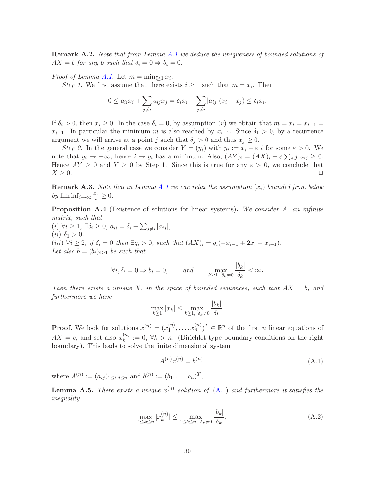**Remark A.2.** Note that from Lemma [A.1](#page-28-0) we deduce the uniqueness of bounded solutions of  $AX = b$  for any b such that  $\delta_i = 0 \Rightarrow b_i = 0$ .

*Proof of Lemma [A.1](#page-28-0).* Let  $m = \min_{i \geq 1} x_i$ .

*Step 1*. We first assume that there exists  $i \geq 1$  such that  $m = x_i$ . Then

$$
0 \le a_{ii}x_i + \sum_{j \neq i} a_{ij}x_j = \delta_i x_i + \sum_{j \neq i} |a_{ij}|(x_i - x_j) \le \delta_i x_i.
$$

If  $\delta_i > 0$ , then  $x_i \geq 0$ . In the case  $\delta_i = 0$ , by assumption (v) we obtain that  $m = x_i = x_{i-1}$  $x_{i+1}$ . In particular the minimum m is also reached by  $x_{i-1}$ . Since  $\delta_1 > 0$ , by a recurrence argument we will arrive at a point j such that  $\delta_j > 0$  and thus  $x_j \geq 0$ .

Step 2. In the general case we consider  $Y = (y_i)$  with  $y_i := x_i + \varepsilon i$  for some  $\varepsilon > 0$ . We note that  $y_i \to +\infty$ , hence  $i \to y_i$  has a minimum. Also,  $(AY)_i = (AX)_i + \varepsilon \sum_j j \ a_{ij} \ge 0$ . Hence  $AY \ge 0$  and  $Y \ge 0$  by Step 1. Since this is true for any  $\varepsilon > 0$ , we conclude that  $X \ge 0$ .  $X \geq 0.$ 

**Remark A.3.** Note that in Lemma [A.1](#page-28-0) we can relax the assumption  $(x_i)$  bounded from below by  $\liminf_{i\to\infty}\frac{x_i}{i}\geq 0.$ 

<span id="page-29-0"></span>**Proposition A.4** (Existence of solutions for linear systems). We consider A, an infinite matrix, such that

 $(i) \forall i \geq 1, \exists \delta_i \geq 0, a_{ii} = \delta_i + \sum_{j \neq i} |a_{ij}|,$ (*ii*)  $\delta_1 > 0$ . (iii)  $\forall i \geq 2$ , if  $\delta_i = 0$  then  $\exists q_i > 0$ , such that  $(AX)_i = q_i(-x_{i-1} + 2x_i - x_{i+1}).$ Let also  $b = (b_i)_{i>1}$  be such that

$$
\forall i, \delta_i = 0 \Rightarrow b_i = 0, \qquad \text{and} \qquad \max_{k \ge 1, \ \delta_k \ne 0} \frac{|b_k|}{\delta_k} < \infty.
$$

Then there exists a unique X, in the space of bounded sequences, such that  $AX = b$ , and furthermore we have

$$
\max_{k\geq 1} |x_k| \leq \max_{k\geq 1, \ \delta_k \neq 0} \frac{|b_k|}{\delta_k}.
$$

**Proof.** We look for solutions  $x^{(n)} = (x_1^{(n)})$  $\binom{n}{1}, \ldots, \binom{n}{n}^T \in \mathbb{R}^n$  of the first *n* linear equations of  $AX = b$ , and set also  $x_k^{(n)}$  $k_k^{(n)} := 0, \forall k > n.$  (Dirichlet type boundary conditions on the right boundary). This leads to solve the finite dimensional system

<span id="page-29-1"></span>
$$
A^{(n)}x^{(n)} = b^{(n)} \tag{A.1}
$$

<span id="page-29-2"></span>where  $A^{(n)} := (a_{ij})_{1 \le i,j \le n}$  and  $b^{(n)} := (b_1, \ldots, b_n)^T$ ,

**Lemma A.5.** There exists a unique  $x^{(n)}$  solution of  $(A.1)$  and furthermore it satisfies the inequality

$$
\max_{1 \le k \le n} |x_k^{(n)}| \le \max_{1 \le k \le n, \ \delta_k \ne 0} \frac{|b_k|}{\delta_k}.
$$
\n(A.2)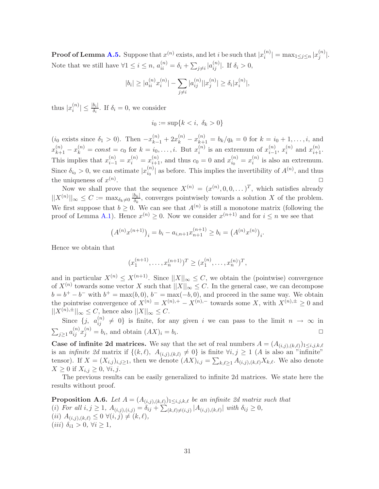**Proof of Lemma [A.5.](#page-29-2)** Suppose that  $x^{(n)}$  exists, and let i be such that  $|x_i^{(n)}$  $|n \choose i} = \max_{1 \leq j \leq n} |x_j^{(n)}|$  $\binom{n}{j}$ . Note that we still have  $\forall 1 \leq i \leq n$ ,  $a_{ii}^{(n)} = \delta_i + \sum_{j \neq i} |a_{ij}^{(n)}|$ . If  $\delta_i > 0$ ,

$$
|b_i| \ge |a_{ii}^{(n)} x_i^{(n)}| - \sum_{j \ne i} |a_{ij}^{(n)}| |x_j^{(n)}| \ge \delta_i |x_i^{(n)}|,
$$

thus  $|x_i^{(n)}\>$  $\left| \frac{\partial}{\partial i} \right| \leq \frac{|b_i|}{\delta_i}$ . If  $\delta_i = 0$ , we consider

$$
i_0 := \sup\{k < i, \ \delta_k > 0\}
$$

 $(i_0 \text{ exists since } \delta_1 > 0)$ . Then  $-x_{k-1}^{(n)} + 2x_k^{(n)} - x_{k+1}^{(n)} = b_k/q_k = 0 \text{ for } k = i_0 + 1, \ldots, i$ , and  $x_{k+1}^{(n)} - x_k^{(n)} = const = c_0$  for  $k = i_0, \ldots, i$ . But  $x_i^{(n)}$  $i^{(n)}$  is an extremum of  $x_{i-1}^{(n)}$  $\binom{n}{i-1}$ ,  $x_i^{(n)}$  $\binom{n}{i}$  and  $x_{i+1}^{(n)}$ . This implies that  $x_{i-1}^{(n)} = x_i^{(n)} = x_{i+1}^{(n)}$ , and thus  $c_0 = 0$  and  $x_{i_0}^{(n)}$  $\binom{n}{i_0} = x_i^{(n)}$  $i^{(n)}$  is also an extremum. Since  $\delta_{i_0} > 0$ , we can estimate  $|x_{i_0}^{(n)}|$  $\binom{n}{i_0}$  as before. This implies the invertibility of  $A^{(n)}$ , and thus the uniqueness of  $x^{(n)}$ .  $\Box$ 

Now we shall prove that the sequence  $X^{(n)} = (x^{(n)}, 0, 0, \dots)^T$ , which satisfies already  $||X^{(n)}||_{\infty} \leq C := \max_{\delta_k \neq 0} \frac{|b_k|}{\delta_k}$  $\frac{\partial k}{\partial k}$ , converges pointwisely towards a solution X of the problem. We first suppose that  $b \geq 0$ . We can see that  $A^{(n)}$  is still a monotone matrix (following the proof of Lemma [A.1\)](#page-28-0). Hence  $x^{(n)} \geq 0$ . Now we consider  $x^{(n+1)}$  and for  $i \leq n$  we see that

$$
(A^{(n)}x^{(n+1)})_i = b_i - a_{i,n+1}x_{n+1}^{(n+1)} \ge b_i = (A^{(n)}x^{(n)})_i.
$$

Hence we obtain that

$$
(x_1^{(n+1)}, \dots, x_n^{(n+1)})^T \ge (x_1^{(n)}, \dots, x_n^{(n)})^T,
$$

and in particular  $X^{(n)} \n\t\leq X^{(n+1)}$ . Since  $||X||_{\infty} \leq C$ , we obtain the (pointwise) convergence of  $X^{(n)}$  towards some vector X such that  $||X||_{\infty} \leq C$ . In the general case, we can decompose  $b = b^+ - b^-$  with  $b^+ = \max(b, 0), b^- = \max(-b, 0)$ , and proceed in the same way. We obtain the pointwise convergence of  $X^{(n)} = X^{(n),+} - X^{(n),-}$  towards some X, with  $X^{(n),\pm} > 0$  and  $||X^{(n),\pm}||_{\infty} \leq C$ , hence also  $||X||_{\infty} \leq C$ .

Since  $\{j, a_{ij}^{(n)} \neq 0\}$  is finite, for any given i we can pass to the limit  $n \to \infty$  in  $\sum_{j\geq 1} a_{ij}^{(n)} x_j^{(n)} = b_i$ , and obtain  $(AX)_i = b_i$ . ✷

**Case of infinite 2d matrices.** We say that the set of real numbers  $A = (A_{(i,j),(k,\ell)})_{1 \leq i,j,k,\ell}$ is an *infinite 2d* matrix if  $\{(k,\ell), A_{(i,j),(k,l)} \neq 0\}$  is finite  $\forall i, j \geq 1$  (A is also an "infinite" tensor). If  $X = (X_{i,j})_{i,j \geq 1}$ , then we denote  $(AX)_{i,j} = \sum_{k,\ell \geq 1} A_{(i,j),(k,\ell)} X_{k,\ell}$ . We also denote  $X \geq 0$  if  $X_{i,j} \geq 0, \forall i, j$ .

<span id="page-30-0"></span>The previous results can be easily generalized to infinite 2d matrices. We state here the results without proof.

**Proposition A.6.** Let  $A = (A_{(i,j),(k,\ell)})_{1 \leq i,j,k,\ell}$  be an infinite 2d matrix such that (i) For all  $i, j \geq 1$ ,  $A_{(i,j),(i,j)} = \delta_{ij} + \sum_{(k,\ell)\neq(i,j)} |A_{(i,j),(k,\ell)}|$  with  $\delta_{ij} \geq 0$ , (*ii*)  $A_{(i,j),(k,\ell)} \leq 0 \ \forall (i,j) \neq (k,\ell),$ (iii)  $\delta_{i1} > 0, \forall i \geq 1,$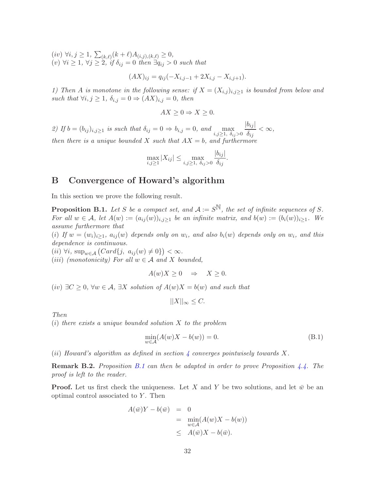$(iv) \ \forall i, j \geq 1, \ \sum_{(k,\ell)} (k+\ell) A_{(i,j),(k,\ell)} \geq 0,$  $(v) \forall i \geq 1, \forall j \geq 2, \text{ if } \delta_{ij} = 0 \text{ then } \exists q_{ij} > 0 \text{ such that}$ 

$$
(AX)_{ij} = q_{ij}(-X_{i,j-1} + 2X_{i,j} - X_{i,j+1}).
$$

1) Then A is monotone in the following sense: if  $X = (X_{i,j})_{i,j \geq 1}$  is bounded from below and such that  $\forall i, j \geq 1, \delta_{i,j} = 0 \Rightarrow (AX)_{i,j} = 0, \text{ then}$ 

$$
AX \ge 0 \Rightarrow X \ge 0.
$$

2) If  $b = (b_{ij})_{i,j \ge 1}$  is such that  $\delta_{ij} = 0 \Rightarrow b_{i,j} = 0$ , and  $\max_{i,j \ge 1, \delta_{ij} > 0}$  $|b_{ij}|$  $\frac{\delta_{ij}}{\delta_{ij}} < \infty,$ then there is a unique bounded X such that  $AX = b$ , and furthermore

$$
\max_{i,j\geq 1}|X_{ij}|\leq \max_{i,j\geq 1, \delta_{ij}>0}\frac{|b_{ij}|}{\delta_{ij}}.
$$

## <span id="page-31-1"></span>B Convergence of Howard's algorithm

<span id="page-31-0"></span>In this section we prove the following result.

**Proposition B.1.** Let S be a compact set, and  $A := S^{\mathbb{N}}$ , the set of infinite sequences of S. For all  $w \in A$ , let  $A(w) := (a_{ij}(w))_{i,j \geq 1}$  be an infinite matrix, and  $b(w) := (b_i(w))_{i \geq 1}$ . We assume furthermore that

(i) If  $w = (w_i)_{i \geq 1}$ ,  $a_{ij}(w)$  depends only on  $w_i$ , and also  $b_i(w)$  depends only on  $w_i$ , and this dependence is continuous.

 $(ii) \forall i, \, \text{sup}_{w \in \mathcal{A}} (Card\{j, a_{ij}(w) \neq 0\}) < \infty.$ 

(*iii*) (monotonicity) For all  $w \in A$  and X bounded,

$$
A(w)X \ge 0 \quad \Rightarrow \quad X \ge 0.
$$

(iv)  $\exists C \geq 0$ ,  $\forall w \in A$ ,  $\exists X$  solution of  $A(w)X = b(w)$  and such that

 $||X||_{\infty} \leq C.$ 

Then

 $(i)$  there exists a unique bounded solution X to the problem

<span id="page-31-2"></span>
$$
\min_{w \in \mathcal{A}} (A(w)X - b(w)) = 0. \tag{B.1}
$$

(ii) Howard's algorithm as defined in section [4](#page-19-0) converges pointwisely towards X.

**Remark B.2.** Proposition [B.1](#page-31-0) can then be adapted in order to prove Proposition  $4.4$ . The proof is left to the reader.

**Proof.** Let us first check the uniqueness. Let X and Y be two solutions, and let  $\bar{w}$  be an optimal control associated to  $Y$ . Then

$$
A(\bar{w})Y - b(\bar{w}) = 0
$$
  
= 
$$
\min_{w \in \mathcal{A}} (A(w)X - b(w))
$$
  

$$
\leq A(\bar{w})X - b(\bar{w}).
$$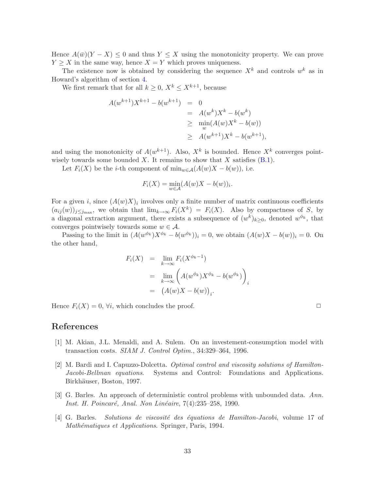Hence  $A(\bar{w})(Y - X) \leq 0$  and thus  $Y \leq X$  using the monotonicity property. We can prove  $Y \geq X$  in the same way, hence  $X = Y$  which proves uniqueness.

The existence now is obtained by considering the sequence  $X^k$  and controls  $w^k$  as in Howard's algorithm of section [4.](#page-19-0)

We first remark that for all  $k \geq 0$ ,  $X^k \leq X^{k+1}$ , because

$$
A(w^{k+1})X^{k+1} - b(w^{k+1}) = 0
$$
  
=  $A(w^k)X^k - b(w^k)$   
 $\ge \min_{w} (A(w)X^k - b(w))$   
 $\ge A(w^{k+1})X^k - b(w^{k+1}),$ 

and using the monotonicity of  $A(w^{k+1})$ . Also,  $X^k$  is bounded. Hence  $X^k$  converges pointwisely towards some bounded X. It remains to show that X satisfies  $(B.1)$ .

Let  $F_i(X)$  be the *i*-th component of  $\min_{w \in \mathcal{A}} (A(w)X - b(w))$ , i.e.

$$
F_i(X) = \min_{w \in \mathcal{A}} (A(w)X - b(w))_i.
$$

For a given i, since  $(A(w)X)_i$  involves only a finite number of matrix continuous coefficients  $(a_{ij}(w))_{j\leq j_{\text{max}}}$ , we obtain that  $\lim_{k\to\infty} F_i(X^k) = F_i(X)$ . Also by compactness of S, by a diagonal extraction argument, there exists a subsequence of  $(w^k)_{k\geq 0}$ , denoted  $w^{\phi_k}$ , that converges pointwisely towards some  $w \in \mathcal{A}$ .

Passing to the limit in  $(A(w^{\phi_k})X^{\phi_k} - b(w^{\phi_k}))_i = 0$ , we obtain  $(A(w)X - b(w))_i = 0$ . On the other hand,

$$
F_i(X) = \lim_{k \to \infty} F_i(X^{\phi_k - 1})
$$
  
= 
$$
\lim_{k \to \infty} \left( A(w^{\phi_k}) X^{\phi_k} - b(w^{\phi_k}) \right)_i
$$
  
= 
$$
(A(w)X - b(w))_i.
$$

Hence  $F_i(X) = 0$ ,  $\forall i$ , which concludes the proof.

$$
\Box
$$

### <span id="page-32-0"></span>References

- <span id="page-32-1"></span>[1] M. Akian, J.L. Menaldi, and A. Sulem. On an investement-consumption model with transaction costs. SIAM J. Control Optim., 34:329–364, 1996.
- [2] M. Bardi and I. Capuzzo-Dolcetta. Optimal control and viscosity solutions of Hamilton-Jacobi-Bellman equations. Systems and Control: Foundations and Applications. Birkhäuser, Boston, 1997.
- <span id="page-32-2"></span>[3] G. Barles. An approach of deterministic control problems with unbounded data. Ann. Inst. H. Poincaré, Anal. Non Linéaire, 7(4):235–258, 1990.
- <span id="page-32-3"></span> $[4]$  G. Barles. Solutions de viscosité des équations de Hamilton-Jacobi, volume 17 of Mathématiques et Applications. Springer, Paris, 1994.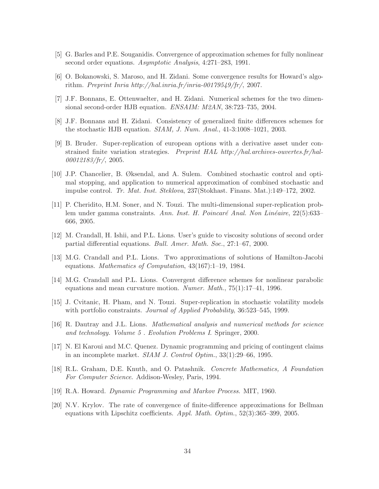- <span id="page-33-8"></span><span id="page-33-7"></span>[5] G. Barles and P.E. Souganidis. Convergence of approximation schemes for fully nonlinear second order equations. Asymptotic Analysis, 4:271-283, 1991.
- <span id="page-33-6"></span>[6] O. Bokanowski, S. Maroso, and H. Zidani. Some convergence results for Howard's algorithm. Preprint Inria http://hal.inria.fr/inria-00179549/fr/, 2007.
- <span id="page-33-5"></span>[7] J.F. Bonnans, E. Ottenwaelter, and H. Zidani. Numerical schemes for the two dimensional second-order HJB equation. ENSAIM: M2AN, 38:723–735, 2004.
- <span id="page-33-1"></span>[8] J.F. Bonnans and H. Zidani. Consistency of generalized finite differences schemes for the stochastic HJB equation.  $SIAM$ , J. Num. Anal., 41-3:1008–1021, 2003.
- [9] B. Bruder. Super-replication of european options with a derivative asset under constrained finite variation strategies. Preprint HAL http://hal.archives-ouvertes.fr/hal-00012183/fr/, 2005.
- <span id="page-33-3"></span>[10] J.P. Chancelier, B. Øksendal, and A. Sulem. Combined stochastic control and optimal stopping, and application to numerical approximation of combined stochastic and impulse control. Tr. Mat. Inst. Steklova, 237(Stokhast. Finans. Mat.):149–172, 2002.
- <span id="page-33-2"></span>[11] P. Cheridito, H.M. Soner, and N. Touzi. The multi-dimensional super-replication problem under gamma constraints. Ann. Inst. H. Poincaré Anal. Non Linéaire, 22(5):633– 666, 2005.
- <span id="page-33-10"></span><span id="page-33-4"></span>[12] M. Crandall, H. Ishii, and P.L. Lions. User's guide to viscosity solutions of second order partial differential equations. Bull. Amer. Math. Soc., 27:1–67, 2000.
- <span id="page-33-11"></span>[13] M.G. Crandall and P.L. Lions. Two approximations of solutions of Hamilton-Jacobi equations. Mathematics of Computation, 43(167):1–19, 1984.
- [14] M.G. Crandall and P.L. Lions. Convergent difference schemes for nonlinear parabolic equations and mean curvature motion. Numer. Math.,  $75(1):17-41$ , 1996.
- <span id="page-33-0"></span>[15] J. Cvitanic, H. Pham, and N. Touzi. Super-replication in stochastic volatility models with portfolio constraints. *Journal of Applied Probability*, 36:523–545, 1999.
- <span id="page-33-14"></span><span id="page-33-9"></span>[16] R. Dautray and J.L. Lions. Mathematical analysis and numerical methods for science and technology. Volume 5 . Evolution Problems I. Springer, 2000.
- <span id="page-33-12"></span>[17] N. El Karoui and M.C. Quenez. Dynamic programming and pricing of contingent claims in an incomplete market.  $SIAM J. Control Optim.$ ,  $33(1):29-66$ , 1995.
- [18] R.L. Graham, D.E. Knuth, and O. Patashnik. Concrete Mathematics, A Foundation For Computer Science. Addison-Wesley, Paris, 1994.
- <span id="page-33-13"></span>[19] R.A. Howard. Dynamic Programming and Markov Process. MIT, 1960.
- [20] N.V. Krylov. The rate of convergence of finite-difference approximations for Bellman equations with Lipschitz coefficients.  $Appl. Math. Optim.$ , 52(3):365–399, 2005.